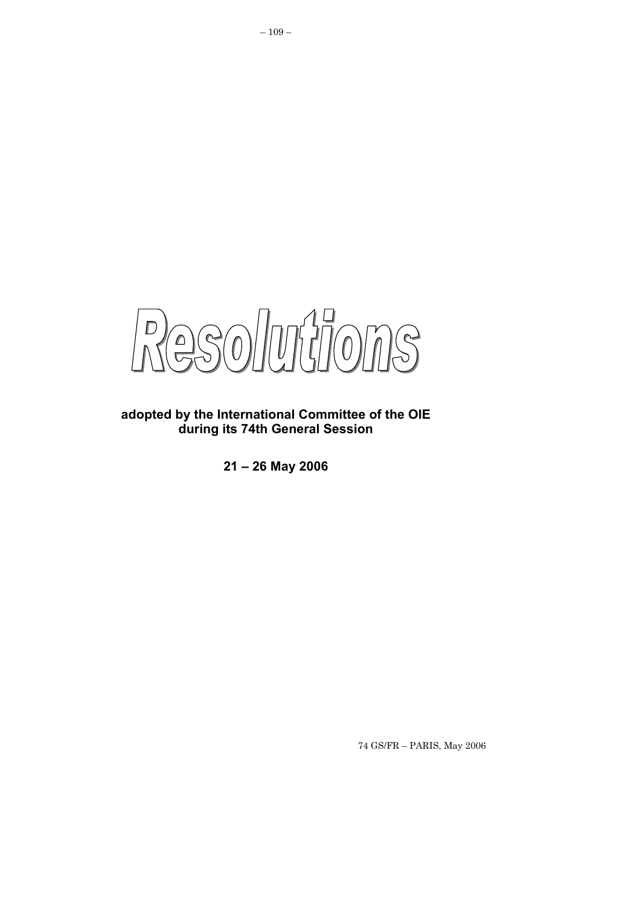$-50$  $\mathbb{D}$ 

**adopted by the International Committee of the OIE during its 74th General Session** 

**21 – 26 May 2006**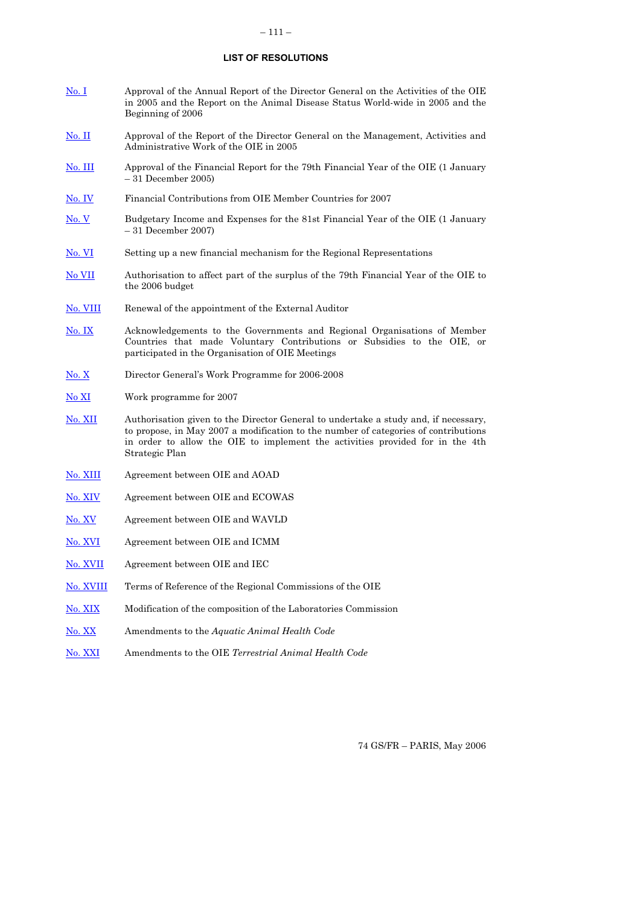### **LIST OF RESOLUTIONS**

- [No. I](#page-4-0) Approval of the Annual Report of the Director General on the Activities of the OIE in 2005 and the Report on the Animal Disease Status World-wide in 2005 and the Beginning of 2006
- [No. II](#page-5-0) Approval of the Report of the Director General on the Management, Activities and Administrative Work of the OIE in 2005
- [No. III](#page-6-0) Approval of the Financial Report for the 79th Financial Year of the OIE (1 January – 31 December 2005)
- [No. IV](#page-7-0) Financial Contributions from OIE Member Countries for 2007
- [No. V](#page-9-0) Budgetary Income and Expenses for the 81st Financial Year of the OIE (1 January – 31 December 2007)
- [No. VI](#page-10-0) Setting up a new financial mechanism for the Regional Representations
- [No VII](#page-11-0) Authorisation to affect part of the surplus of the 79th Financial Year of the OIE to the 2006 budget
- [No. VIII](#page-12-0) Renewal of the appointment of the External Auditor
- [No. IX](#page-13-0) Acknowledgements to the Governments and Regional Organisations of Member Countries that made Voluntary Contributions or Subsidies to the OIE, or participated in the Organisation of OIE Meetings
- [No. X](#page-14-0) Director General's Work Programme for 2006-2008
- [No XI](#page-15-0) Work programme for 2007
- [No. XII](#page-16-0) Authorisation given to the Director General to undertake a study and, if necessary, to propose, in May 2007 a modification to the number of categories of contributions in order to allow the OIE to implement the activities provided for in the 4th Strategic Plan
- [No. XIII](#page-17-0) Agreement between OIE and AOAD
- [No. XIV](#page-18-0) Agreement between OIE and ECOWAS
- [No. XV](#page-19-0) Agreement between OIE and WAVLD
- No. XVI Agreement between OIE and ICMM
- [No. XVII](#page-21-0) Agreement between OIE and IEC
- [No. XVIII](#page-22-0) Terms of Reference of the Regional Commissions of the OIE
- [No. XIX](#page-27-0) Modification of the composition of the Laboratories Commission
- [No. XX](#page-28-0) Amendments to the *Aquatic Animal Health Code*
- [No. XXI](#page-29-0) Amendments to the OIE *Terrestrial Animal Health Code*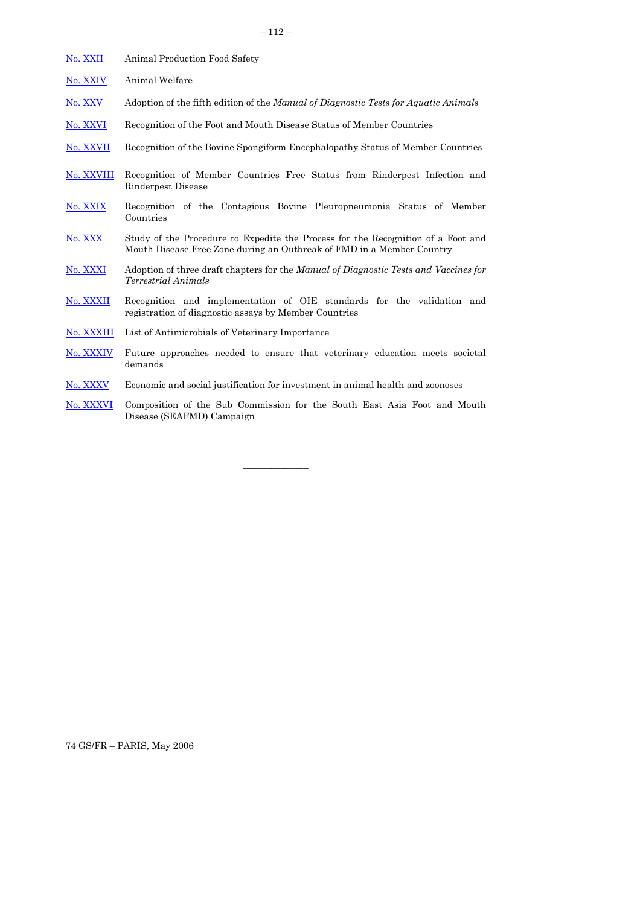| No. XXII   | Animal Production Food Safety                                                                                                                             |
|------------|-----------------------------------------------------------------------------------------------------------------------------------------------------------|
| No. XXIV   | Animal Welfare                                                                                                                                            |
| No. XXV    | Adoption of the fifth edition of the <i>Manual of Diagnostic Tests for Aquatic Animals</i>                                                                |
| No. XXVI   | Recognition of the Foot and Mouth Disease Status of Member Countries                                                                                      |
| No. XXVII  | Recognition of the Bovine Spongiform Encephalopathy Status of Member Countries                                                                            |
| No. XXVIII | Recognition of Member Countries Free Status from Rinderpest Infection and<br>Rinderpest Disease                                                           |
| No. XXIX   | Recognition of the Contagious Bovine Pleuropneumonia Status of Member<br>Countries                                                                        |
| No. XXX    | Study of the Procedure to Expedite the Process for the Recognition of a Foot and<br>Mouth Disease Free Zone during an Outbreak of FMD in a Member Country |
| No. XXXI   | Adoption of three draft chapters for the <i>Manual of Diagnostic Tests and Vaccines for</i><br><i>Terrestrial Animals</i>                                 |
| No. XXXII  | Recognition and implementation of OIE standards for the validation and<br>registration of diagnostic assays by Member Countries                           |
| No. XXXIII | List of Antimicrobials of Veterinary Importance                                                                                                           |
| No. XXXIV  | Future approaches needed to ensure that veterinary education meets societal<br>demands                                                                    |
| No. XXXV   | Economic and social justification for investment in animal health and zoonoses                                                                            |

[No. XXXVI](#page-56-0) Composition of the Sub Commission for the South East Asia Foot and Mouth Disease (SEAFMD) Campaign

 $\mathcal{L}=\mathcal{L}$  , we have the set of  $\mathcal{L}=\mathcal{L}$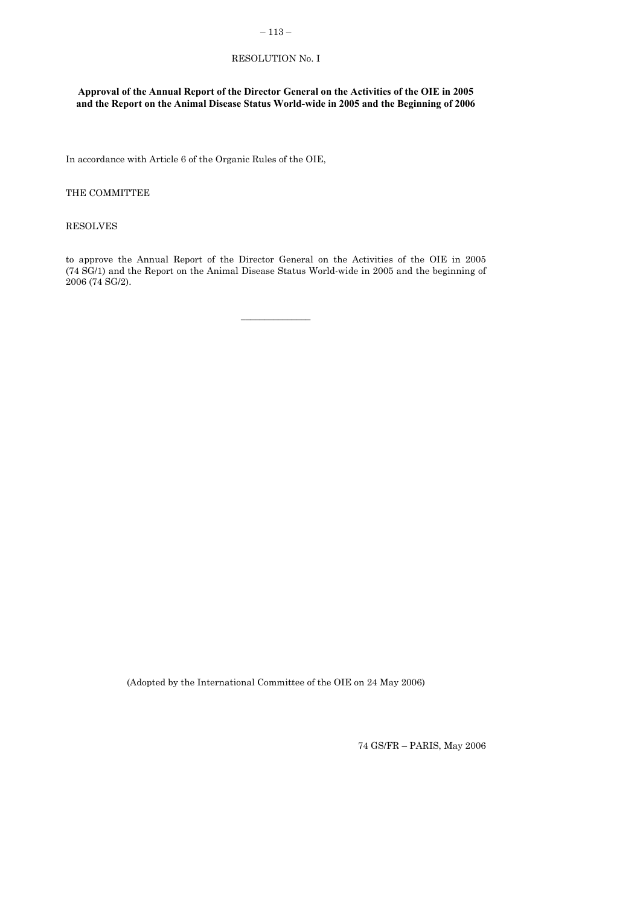## $-113-$

# RESOLUTION No. I

# <span id="page-4-0"></span>**Approval of the Annual Report of the Director General on the Activities of the OIE in 2005 and the Report on the Animal Disease Status World-wide in 2005 and the Beginning of 2006**

In accordance with Article 6 of the Organic Rules of the OIE,

## THE COMMITTEE

#### RESOLVES

to approve the Annual Report of the Director General on the Activities of the OIE in 2005 (74 SG/1) and the Report on the Animal Disease Status World-wide in 2005 and the beginning of 2006 (74 SG/2).

(Adopted by the International Committee of the OIE on 24 May 2006)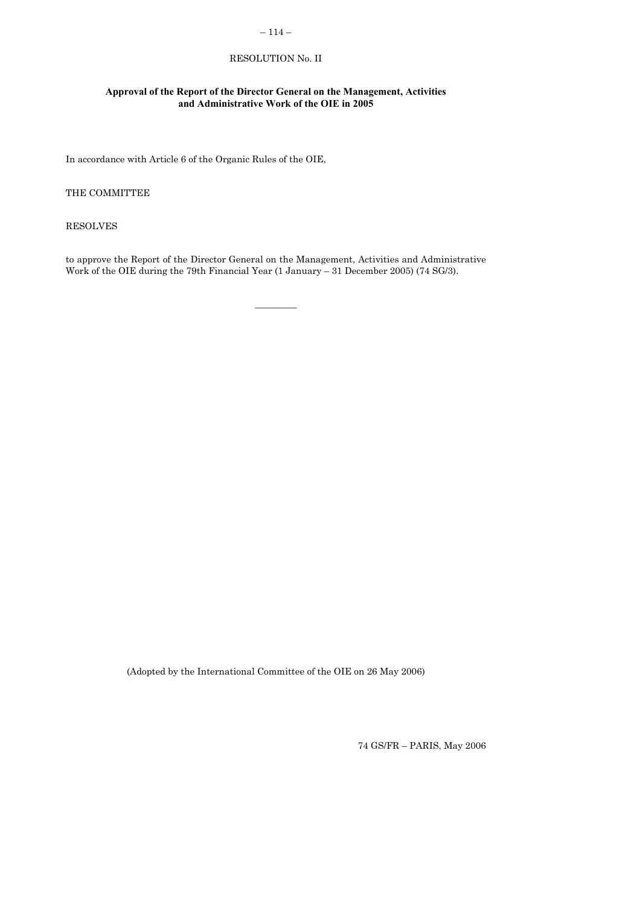# $-114-$

# RESOLUTION No. II

# <span id="page-5-0"></span>**Approval of the Report of the Director General on the Management, Activities and Administrative Work of the OIE in 2005**

In accordance with Article 6 of the Organic Rules of the OIE,

## THE COMMITTEE

RESOLVES

to approve the Report of the Director General on the Management, Activities and Administrative Work of the OIE during the 79th Financial Year (1 January – 31 December 2005) (74 SG/3).

 $\overline{\phantom{a}}$ 

(Adopted by the International Committee of the OIE on 26 May 2006)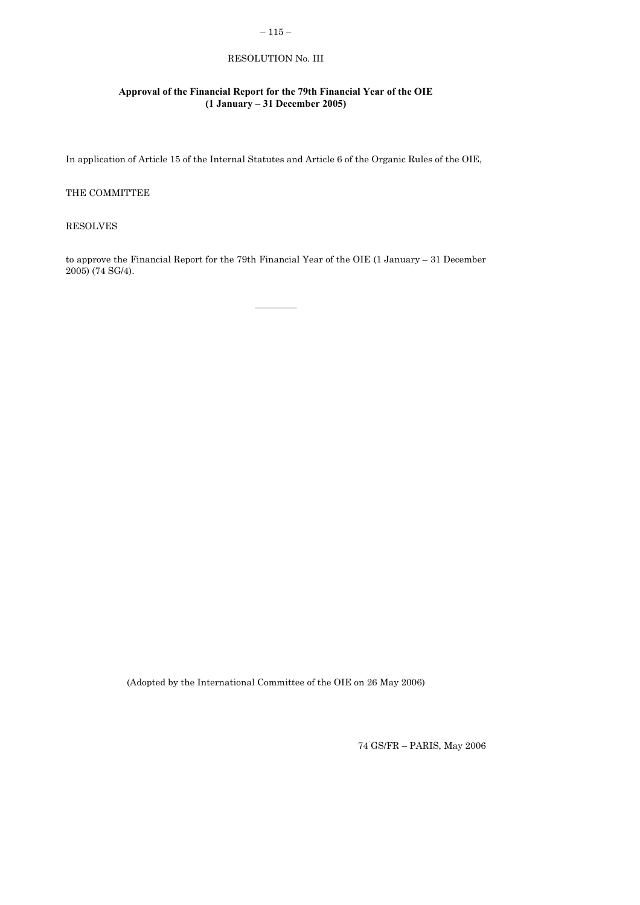# $-115-$

# RESOLUTION No. III

# <span id="page-6-0"></span>**Approval of the Financial Report for the 79th Financial Year of the OIE (1 January – 31 December 2005)**

In application of Article 15 of the Internal Statutes and Article 6 of the Organic Rules of the OIE,

### THE COMMITTEE

RESOLVES

to approve the Financial Report for the 79th Financial Year of the OIE (1 January – 31 December 2005) (74 SG/4).

 $\overline{\phantom{a}}$ 

(Adopted by the International Committee of the OIE on 26 May 2006)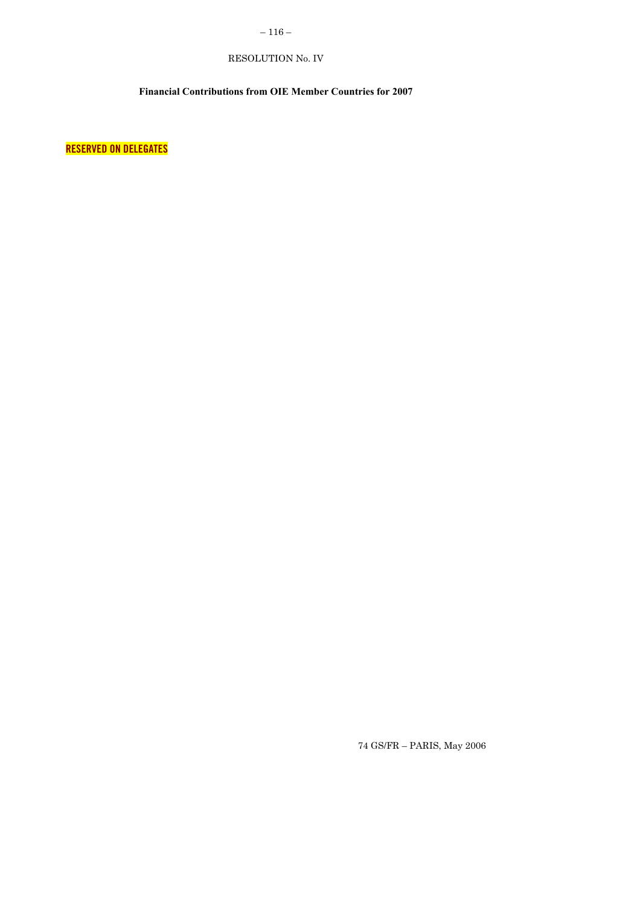# $-116-$

# RESOLUTION No. IV

# **Financial Contributions from OIE Member Countries for 2007**

<span id="page-7-0"></span>**RESERVED ON DELEGATES**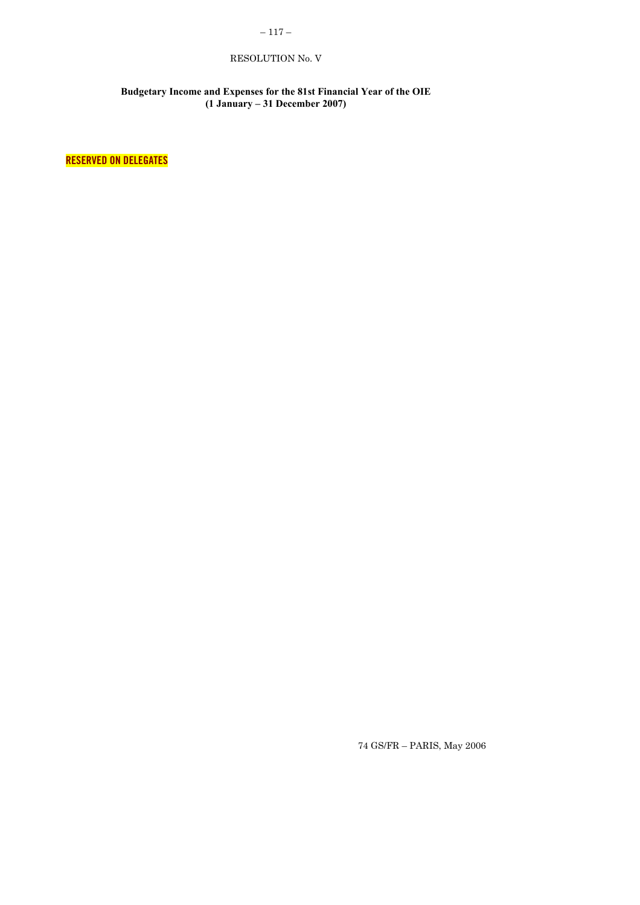# $-117-$

# RESOLUTION No. V

### **Budgetary Income and Expenses for the 81st Financial Year of the OIE (1 January – 31 December 2007)**

**RESERVED ON DELEGATES**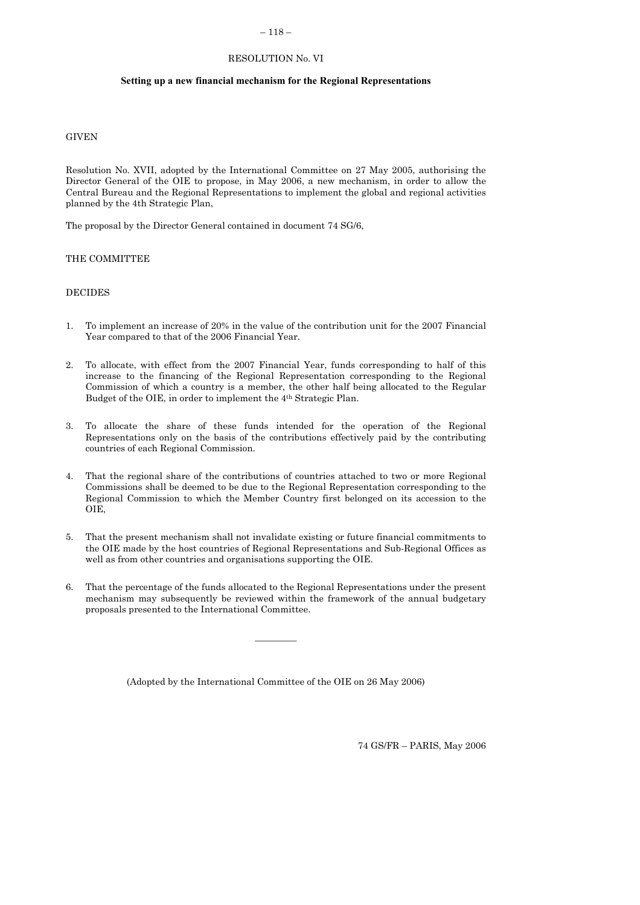#### $-118-$

## RESOLUTION No. VI

#### <span id="page-9-0"></span>**Setting up a new financial mechanism for the Regional Representations**

## **GIVEN**

Resolution No. XVII, adopted by the International Committee on 27 May 2005, authorising the Director General of the OIE to propose, in May 2006, a new mechanism, in order to allow the Central Bureau and the Regional Representations to implement the global and regional activities planned by the 4th Strategic Plan,

The proposal by the Director General contained in document 74 SG/6,

#### THE COMMITTEE

#### DECIDES

- 1. To implement an increase of 20% in the value of the contribution unit for the 2007 Financial Year compared to that of the 2006 Financial Year.
- 2. To allocate, with effect from the 2007 Financial Year, funds corresponding to half of this increase to the financing of the Regional Representation corresponding to the Regional Commission of which a country is a member, the other half being allocated to the Regular Budget of the OIE, in order to implement the 4th Strategic Plan.
- 3. To allocate the share of these funds intended for the operation of the Regional Representations only on the basis of the contributions effectively paid by the contributing countries of each Regional Commission.
- 4. That the regional share of the contributions of countries attached to two or more Regional Commissions shall be deemed to be due to the Regional Representation corresponding to the Regional Commission to which the Member Country first belonged on its accession to the OIE,
- 5. That the present mechanism shall not invalidate existing or future financial commitments to the OIE made by the host countries of Regional Representations and Sub-Regional Offices as well as from other countries and organisations supporting the OIE.
- 6. That the percentage of the funds allocated to the Regional Representations under the present mechanism may subsequently be reviewed within the framework of the annual budgetary proposals presented to the International Committee.

 $\overline{\phantom{a}}$ 

(Adopted by the International Committee of the OIE on 26 May 2006)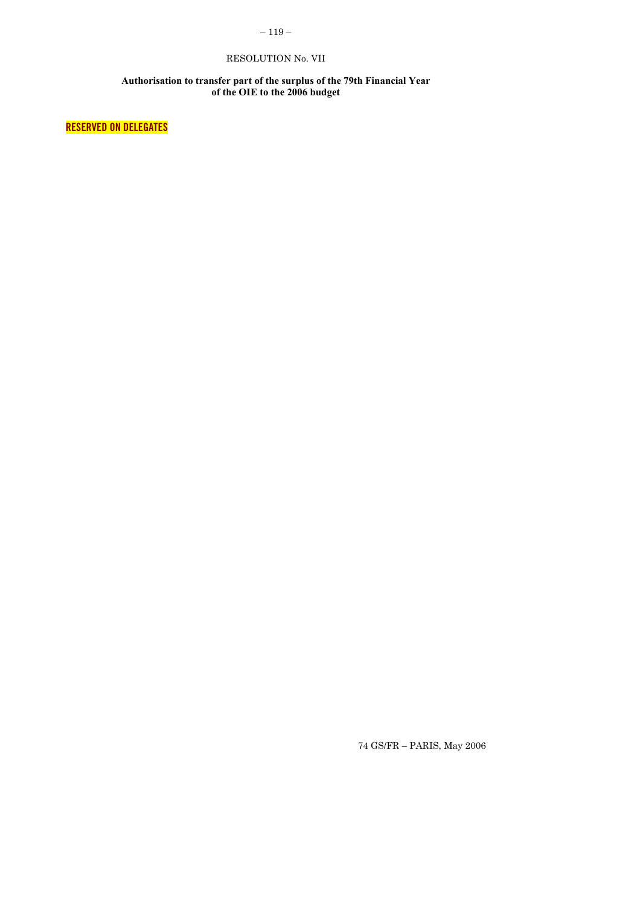# $-119-$

# RESOLUTION No. VII

#### **Authorisation to transfer part of the surplus of the 79th Financial Year of the OIE to the 2006 budget**

<span id="page-10-0"></span>**RESERVED ON DELEGATES**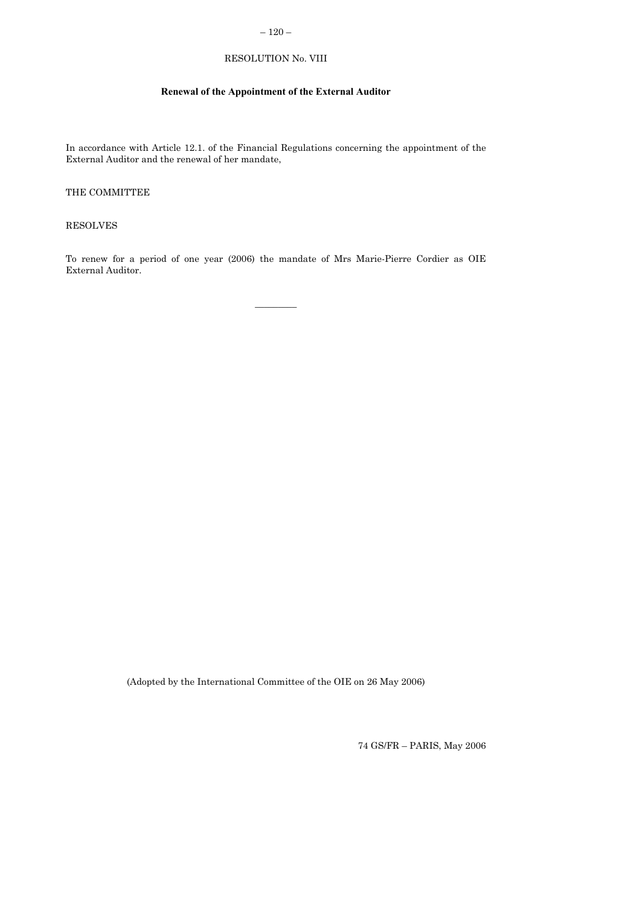# $-120-$

# RESOLUTION No. VIII

# **Renewal of the Appointment of the External Auditor**

<span id="page-11-0"></span>In accordance with Article 12.1. of the Financial Regulations concerning the appointment of the External Auditor and the renewal of her mandate,

## THE COMMITTEE

RESOLVES

To renew for a period of one year (2006) the mandate of Mrs Marie-Pierre Cordier as OIE External Auditor.

 $\frac{1}{2}$ 

(Adopted by the International Committee of the OIE on 26 May 2006)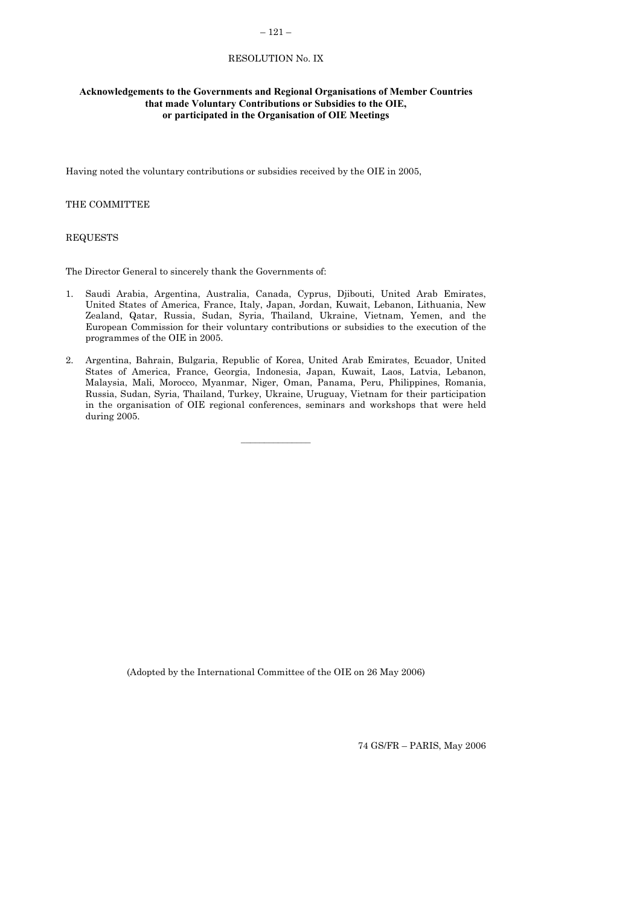## – 121 –

## RESOLUTION No. IX

### <span id="page-12-0"></span>**Acknowledgements to the Governments and Regional Organisations of Member Countries that made Voluntary Contributions or Subsidies to the OIE, or participated in the Organisation of OIE Meetings**

Having noted the voluntary contributions or subsidies received by the OIE in 2005,

## THE COMMITTEE

#### REQUESTS

The Director General to sincerely thank the Governments of:

- 1. Saudi Arabia, Argentina, Australia, Canada, Cyprus, Djibouti, United Arab Emirates, United States of America, France, Italy, Japan, Jordan, Kuwait, Lebanon, Lithuania, New Zealand, Qatar, Russia, Sudan, Syria, Thailand, Ukraine, Vietnam, Yemen, and the European Commission for their voluntary contributions or subsidies to the execution of the programmes of the OIE in 2005.
- 2. Argentina, Bahrain, Bulgaria, Republic of Korea, United Arab Emirates, Ecuador, United States of America, France, Georgia, Indonesia, Japan, Kuwait, Laos, Latvia, Lebanon, Malaysia, Mali, Morocco, Myanmar, Niger, Oman, Panama, Peru, Philippines, Romania, Russia, Sudan, Syria, Thailand, Turkey, Ukraine, Uruguay, Vietnam for their participation in the organisation of OIE regional conferences, seminars and workshops that were held during 2005.

(Adopted by the International Committee of the OIE on 26 May 2006)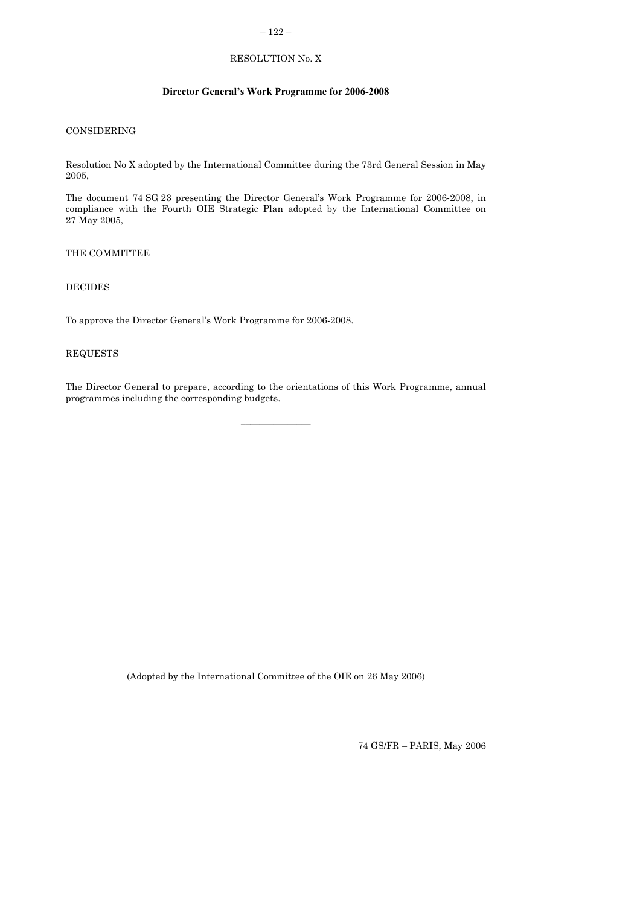# – 122 –

# RESOLUTION No. X

## **Director General's Work Programme for 2006-2008**

# <span id="page-13-0"></span>CONSIDERING

Resolution No X adopted by the International Committee during the 73rd General Session in May 2005,

The document 74 SG 23 presenting the Director General's Work Programme for 2006-2008, in compliance with the Fourth OIE Strategic Plan adopted by the International Committee on 27 May 2005,

THE COMMITTEE

## DECIDES

To approve the Director General's Work Programme for 2006-2008.

### REQUESTS

The Director General to prepare, according to the orientations of this Work Programme, annual programmes including the corresponding budgets.

 $\mathcal{L}=\mathcal{L}^{\mathcal{L}}$ 

(Adopted by the International Committee of the OIE on 26 May 2006)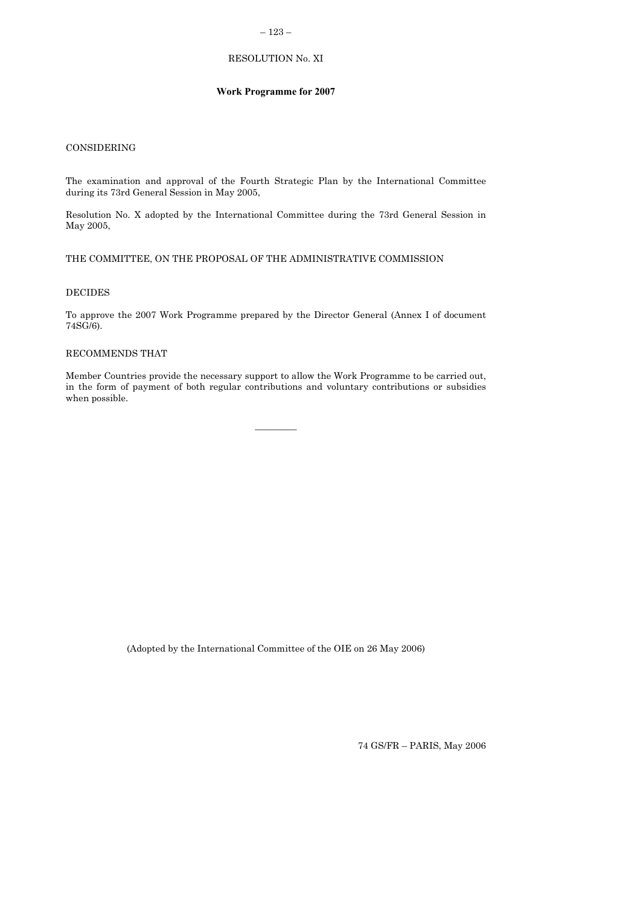## – 123 –

# RESOLUTION No. XI

### **Work Programme for 2007**

# <span id="page-14-0"></span>CONSIDERING

The examination and approval of the Fourth Strategic Plan by the International Committee during its 73rd General Session in May 2005,

Resolution No. X adopted by the International Committee during the 73rd General Session in May 2005,

## THE COMMITTEE, ON THE PROPOSAL OF THE ADMINISTRATIVE COMMISSION

#### DECIDES

To approve the 2007 Work Programme prepared by the Director General (Annex I of document 74SG/6).

#### RECOMMENDS THAT

Member Countries provide the necessary support to allow the Work Programme to be carried out, in the form of payment of both regular contributions and voluntary contributions or subsidies when possible.

 $\overline{\phantom{a}}$ 

(Adopted by the International Committee of the OIE on 26 May 2006)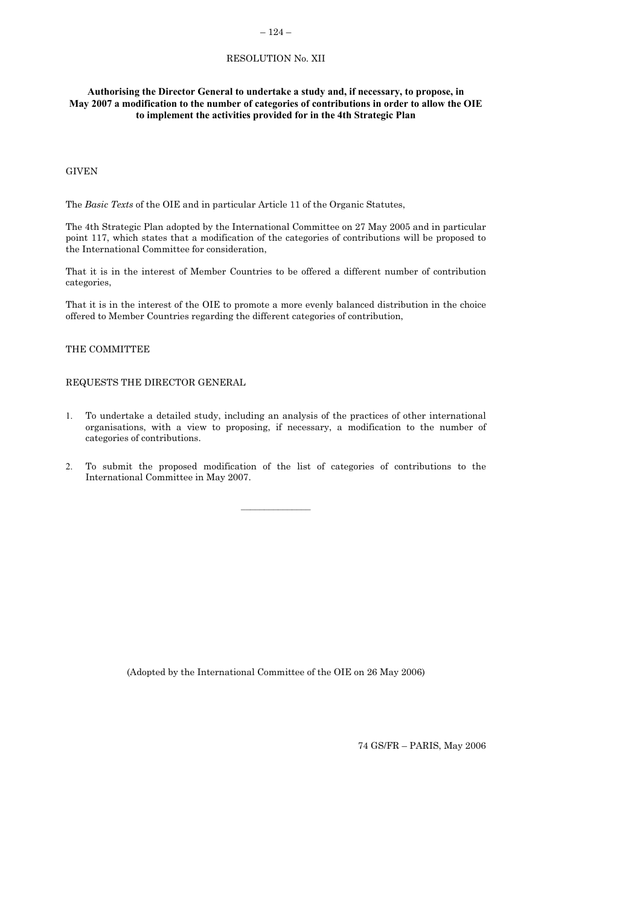## $-124-$

## RESOLUTION No. XII

## <span id="page-15-0"></span>**Authorising the Director General to undertake a study and, if necessary, to propose, in May 2007 a modification to the number of categories of contributions in order to allow the OIE to implement the activities provided for in the 4th Strategic Plan**

## **GIVEN**

The *Basic Texts* of the OIE and in particular Article 11 of the Organic Statutes,

The 4th Strategic Plan adopted by the International Committee on 27 May 2005 and in particular point 117, which states that a modification of the categories of contributions will be proposed to the International Committee for consideration,

That it is in the interest of Member Countries to be offered a different number of contribution categories,

That it is in the interest of the OIE to promote a more evenly balanced distribution in the choice offered to Member Countries regarding the different categories of contribution,

## THE COMMITTEE

## REQUESTS THE DIRECTOR GENERAL

- 1. To undertake a detailed study, including an analysis of the practices of other international organisations, with a view to proposing, if necessary, a modification to the number of categories of contributions.
- 2. To submit the proposed modification of the list of categories of contributions to the International Committee in May 2007.

(Adopted by the International Committee of the OIE on 26 May 2006)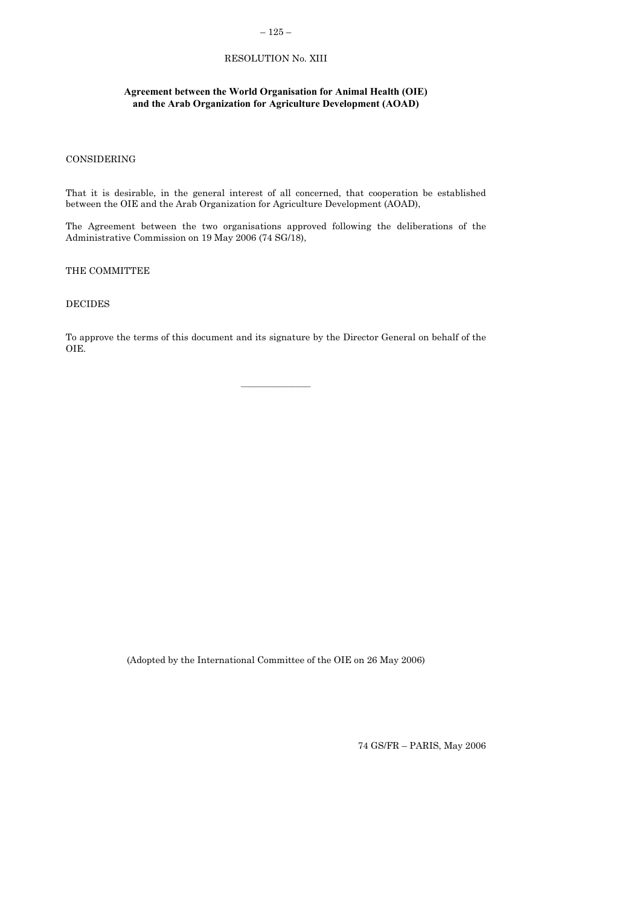# $-125-$

## RESOLUTION No. XIII

## <span id="page-16-0"></span>**Agreement between the World Organisation for Animal Health (OIE) and the Arab Organization for Agriculture Development (AOAD)**

### CONSIDERING

That it is desirable, in the general interest of all concerned, that cooperation be established between the OIE and the Arab Organization for Agriculture Development (AOAD),

The Agreement between the two organisations approved following the deliberations of the Administrative Commission on 19 May 2006 (74 SG/18),

### THE COMMITTEE

## DECIDES

To approve the terms of this document and its signature by the Director General on behalf of the OIE.

(Adopted by the International Committee of the OIE on 26 May 2006)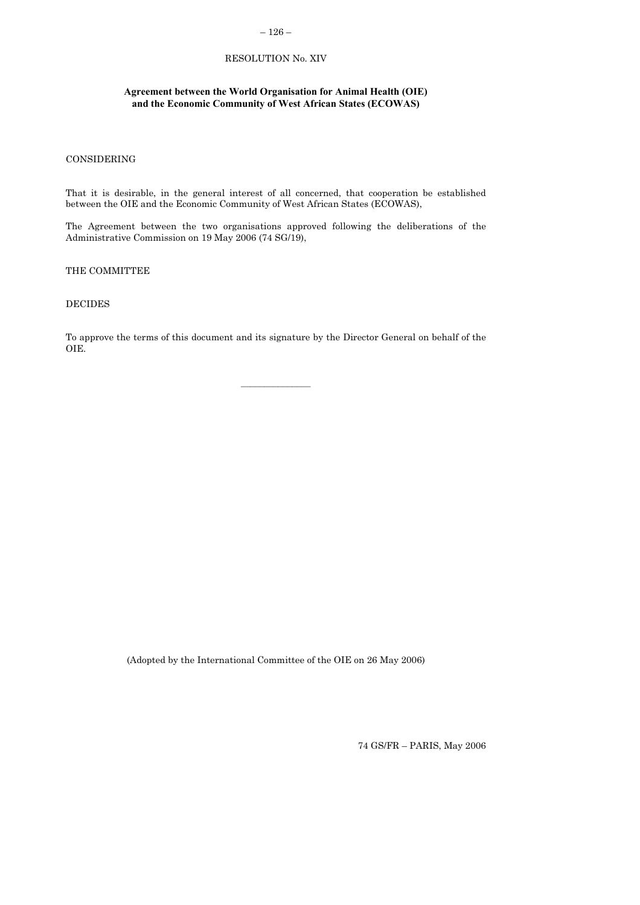# $-126-$

# RESOLUTION No. XIV

# <span id="page-17-0"></span>**Agreement between the World Organisation for Animal Health (OIE) and the Economic Community of West African States (ECOWAS)**

### CONSIDERING

That it is desirable, in the general interest of all concerned, that cooperation be established between the OIE and the Economic Community of West African States (ECOWAS),

The Agreement between the two organisations approved following the deliberations of the Administrative Commission on 19 May 2006 (74 SG/19),

## THE COMMITTEE

### DECIDES

To approve the terms of this document and its signature by the Director General on behalf of the OIE.

(Adopted by the International Committee of the OIE on 26 May 2006)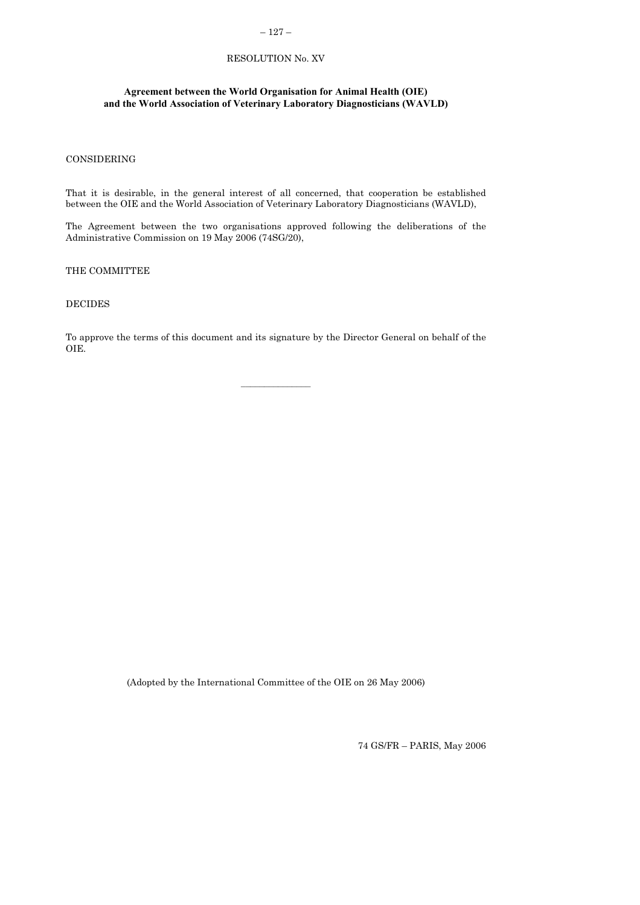# – 127 –

# RESOLUTION No. XV

## <span id="page-18-0"></span>**Agreement between the World Organisation for Animal Health (OIE) and the World Association of Veterinary Laboratory Diagnosticians (WAVLD)**

### CONSIDERING

That it is desirable, in the general interest of all concerned, that cooperation be established between the OIE and the World Association of Veterinary Laboratory Diagnosticians (WAVLD),

The Agreement between the two organisations approved following the deliberations of the Administrative Commission on 19 May 2006 (74SG/20),

THE COMMITTEE

### DECIDES

To approve the terms of this document and its signature by the Director General on behalf of the OIE.

(Adopted by the International Committee of the OIE on 26 May 2006)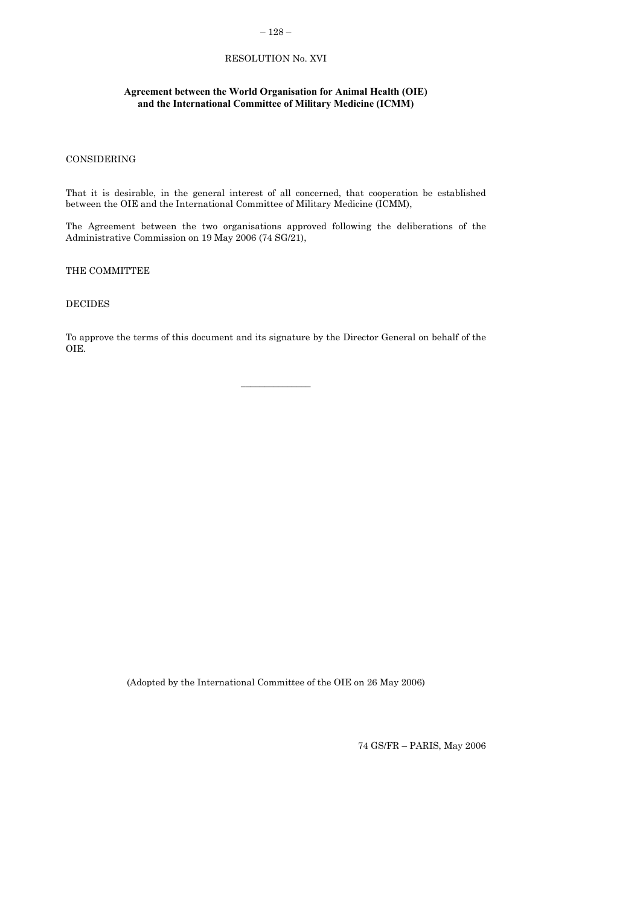# $-128-$

# RESOLUTION No. XVI

# <span id="page-19-0"></span>**Agreement between the World Organisation for Animal Health (OIE) and the International Committee of Military Medicine (ICMM)**

### CONSIDERING

That it is desirable, in the general interest of all concerned, that cooperation be established between the OIE and the International Committee of Military Medicine (ICMM),

The Agreement between the two organisations approved following the deliberations of the Administrative Commission on 19 May 2006 (74 SG/21),

THE COMMITTEE

## DECIDES

To approve the terms of this document and its signature by the Director General on behalf of the OIE.

(Adopted by the International Committee of the OIE on 26 May 2006)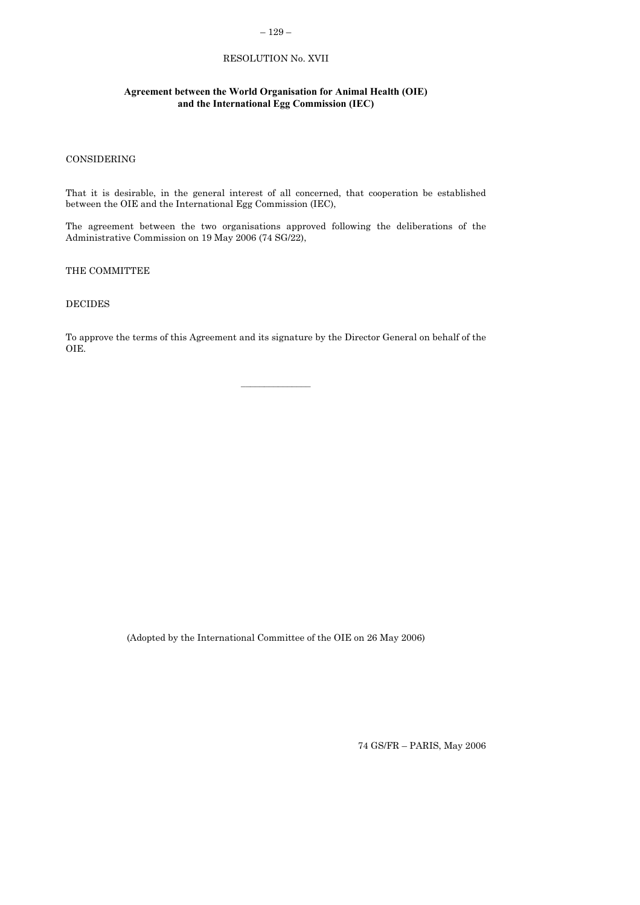# – 129 –

# RESOLUTION No. XVII

# **Agreement between the World Organisation for Animal Health (OIE) and the International Egg Commission (IEC)**

### CONSIDERING

That it is desirable, in the general interest of all concerned, that cooperation be established between the OIE and the International Egg Commission (IEC),

The agreement between the two organisations approved following the deliberations of the Administrative Commission on 19 May 2006 (74 SG/22),

THE COMMITTEE

### DECIDES

To approve the terms of this Agreement and its signature by the Director General on behalf of the OIE.

(Adopted by the International Committee of the OIE on 26 May 2006)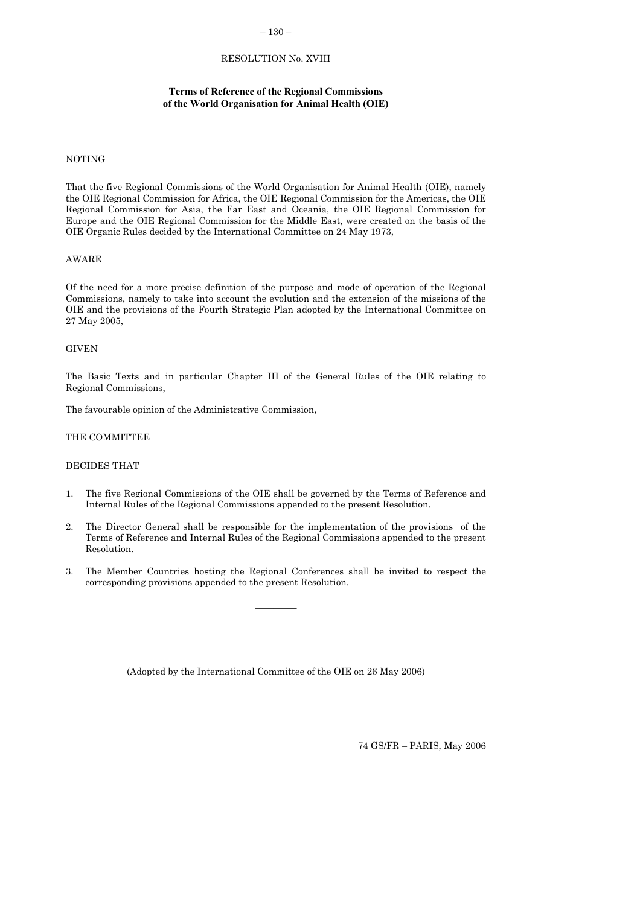## – 130 –

## RESOLUTION No. XVIII

### **Terms of Reference of the Regional Commissions of the World Organisation for Animal Health (OIE)**

#### <span id="page-21-0"></span>NOTING

That the five Regional Commissions of the World Organisation for Animal Health (OIE), namely the OIE Regional Commission for Africa, the OIE Regional Commission for the Americas, the OIE Regional Commission for Asia, the Far East and Oceania, the OIE Regional Commission for Europe and the OIE Regional Commission for the Middle East, were created on the basis of the OIE Organic Rules decided by the International Committee on 24 May 1973,

#### AWARE

Of the need for a more precise definition of the purpose and mode of operation of the Regional Commissions, namely to take into account the evolution and the extension of the missions of the OIE and the provisions of the Fourth Strategic Plan adopted by the International Committee on 27 May 2005,

### **GIVEN**

The Basic Texts and in particular Chapter III of the General Rules of the OIE relating to Regional Commissions,

The favourable opinion of the Administrative Commission,

#### THE COMMITTEE

## DECIDES THAT

- 1. The five Regional Commissions of the OIE shall be governed by the Terms of Reference and Internal Rules of the Regional Commissions appended to the present Resolution.
- 2. The Director General shall be responsible for the implementation of the provisions of the Terms of Reference and Internal Rules of the Regional Commissions appended to the present Resolution.
- 3. The Member Countries hosting the Regional Conferences shall be invited to respect the corresponding provisions appended to the present Resolution.

 $\frac{1}{2}$ 

(Adopted by the International Committee of the OIE on 26 May 2006)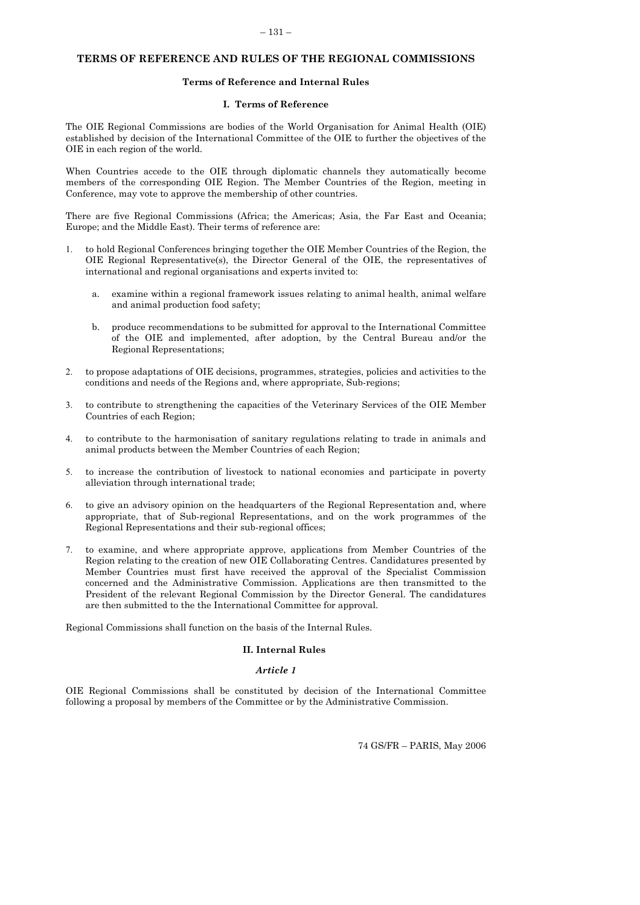## <span id="page-22-0"></span>**TERMS OF REFERENCE AND RULES OF THE REGIONAL COMMISSIONS**

#### **Terms of Reference and Internal Rules**

#### **I. Terms of Reference**

The OIE Regional Commissions are bodies of the World Organisation for Animal Health (OIE) established by decision of the International Committee of the OIE to further the objectives of the OIE in each region of the world.

When Countries accede to the OIE through diplomatic channels they automatically become members of the corresponding OIE Region. The Member Countries of the Region, meeting in Conference, may vote to approve the membership of other countries.

There are five Regional Commissions (Africa; the Americas; Asia, the Far East and Oceania; Europe; and the Middle East). Their terms of reference are:

- 1. to hold Regional Conferences bringing together the OIE Member Countries of the Region, the OIE Regional Representative(s), the Director General of the OIE, the representatives of international and regional organisations and experts invited to:
	- a. examine within a regional framework issues relating to animal health, animal welfare and animal production food safety;
	- b. produce recommendations to be submitted for approval to the International Committee of the OIE and implemented, after adoption, by the Central Bureau and/or the Regional Representations;
- 2. to propose adaptations of OIE decisions, programmes, strategies, policies and activities to the conditions and needs of the Regions and, where appropriate, Sub-regions;
- 3. to contribute to strengthening the capacities of the Veterinary Services of the OIE Member Countries of each Region;
- 4. to contribute to the harmonisation of sanitary regulations relating to trade in animals and animal products between the Member Countries of each Region;
- 5. to increase the contribution of livestock to national economies and participate in poverty alleviation through international trade;
- 6. to give an advisory opinion on the headquarters of the Regional Representation and, where appropriate, that of Sub-regional Representations, and on the work programmes of the Regional Representations and their sub-regional offices;
- 7. to examine, and where appropriate approve, applications from Member Countries of the Region relating to the creation of new OIE Collaborating Centres. Candidatures presented by Member Countries must first have received the approval of the Specialist Commission concerned and the Administrative Commission. Applications are then transmitted to the President of the relevant Regional Commission by the Director General. The candidatures are then submitted to the the International Committee for approval.

Regional Commissions shall function on the basis of the Internal Rules.

## **II. Internal Rules**

#### *Article 1*

OIE Regional Commissions shall be constituted by decision of the International Committee following a proposal by members of the Committee or by the Administrative Commission.

74 GS/FR – PARIS, May 2006

#### – 131 –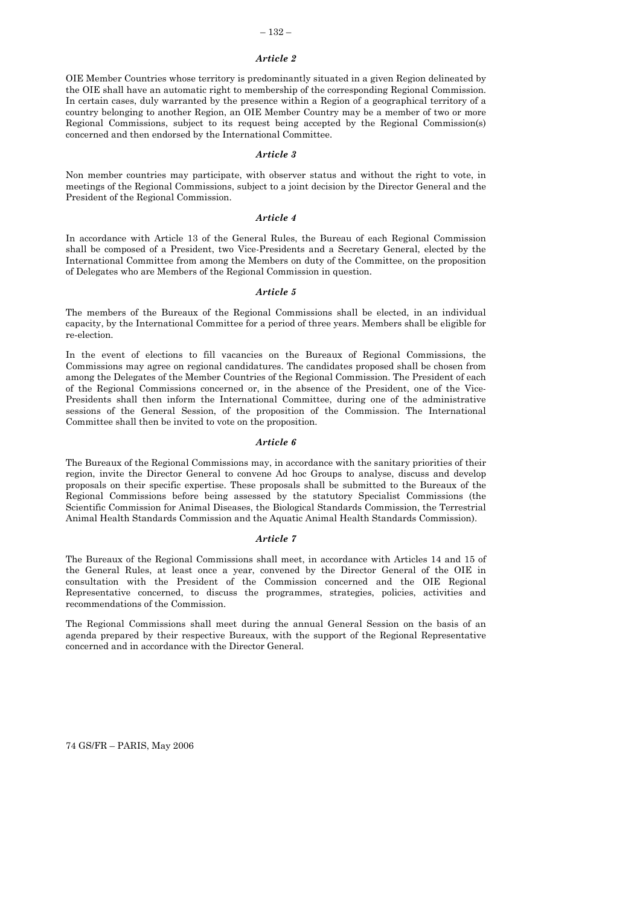#### – 132 –

#### *Article 2*

OIE Member Countries whose territory is predominantly situated in a given Region delineated by the OIE shall have an automatic right to membership of the corresponding Regional Commission. In certain cases, duly warranted by the presence within a Region of a geographical territory of a country belonging to another Region, an OIE Member Country may be a member of two or more Regional Commissions, subject to its request being accepted by the Regional Commission(s) concerned and then endorsed by the International Committee.

#### *Article 3*

Non member countries may participate, with observer status and without the right to vote, in meetings of the Regional Commissions, subject to a joint decision by the Director General and the President of the Regional Commission.

#### *Article 4*

In accordance with Article 13 of the General Rules, the Bureau of each Regional Commission shall be composed of a President, two Vice-Presidents and a Secretary General, elected by the International Committee from among the Members on duty of the Committee, on the proposition of Delegates who are Members of the Regional Commission in question.

#### *Article 5*

The members of the Bureaux of the Regional Commissions shall be elected, in an individual capacity, by the International Committee for a period of three years. Members shall be eligible for re-election.

In the event of elections to fill vacancies on the Bureaux of Regional Commissions, the Commissions may agree on regional candidatures. The candidates proposed shall be chosen from among the Delegates of the Member Countries of the Regional Commission. The President of each of the Regional Commissions concerned or, in the absence of the President, one of the Vice-Presidents shall then inform the International Committee, during one of the administrative sessions of the General Session, of the proposition of the Commission. The International Committee shall then be invited to vote on the proposition.

#### *Article 6*

The Bureaux of the Regional Commissions may, in accordance with the sanitary priorities of their region, invite the Director General to convene Ad hoc Groups to analyse, discuss and develop proposals on their specific expertise. These proposals shall be submitted to the Bureaux of the Regional Commissions before being assessed by the statutory Specialist Commissions (the Scientific Commission for Animal Diseases, the Biological Standards Commission, the Terrestrial Animal Health Standards Commission and the Aquatic Animal Health Standards Commission).

#### *Article 7*

The Bureaux of the Regional Commissions shall meet, in accordance with Articles 14 and 15 of the General Rules, at least once a year, convened by the Director General of the OIE in consultation with the President of the Commission concerned and the OIE Regional Representative concerned, to discuss the programmes, strategies, policies, activities and recommendations of the Commission.

The Regional Commissions shall meet during the annual General Session on the basis of an agenda prepared by their respective Bureaux, with the support of the Regional Representative concerned and in accordance with the Director General.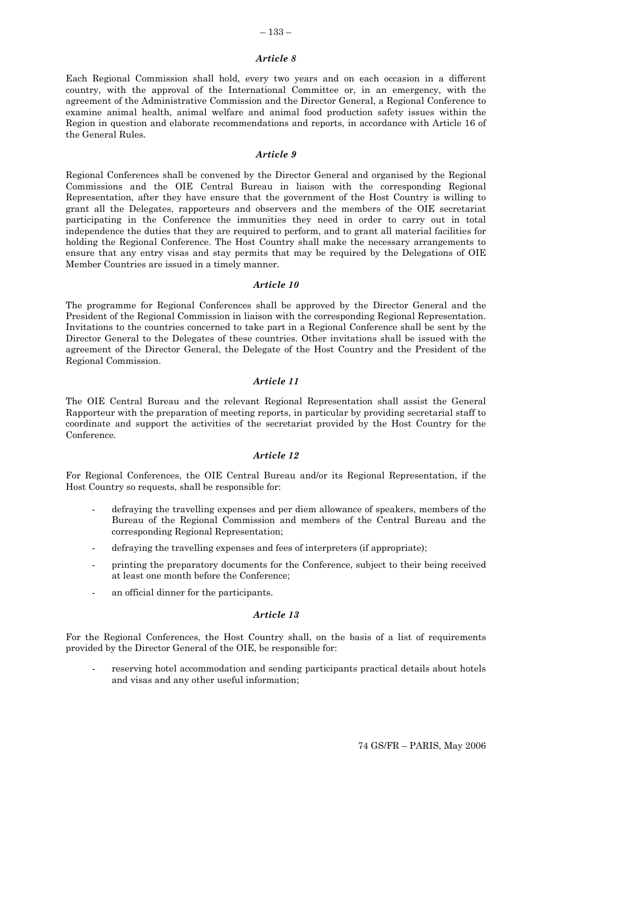#### – 133 –

#### *Article 8*

Each Regional Commission shall hold, every two years and on each occasion in a different country, with the approval of the International Committee or, in an emergency, with the agreement of the Administrative Commission and the Director General, a Regional Conference to examine animal health, animal welfare and animal food production safety issues within the Region in question and elaborate recommendations and reports, in accordance with Article 16 of the General Rules.

#### *Article 9*

Regional Conferences shall be convened by the Director General and organised by the Regional Commissions and the OIE Central Bureau in liaison with the corresponding Regional Representation, after they have ensure that the government of the Host Country is willing to grant all the Delegates, rapporteurs and observers and the members of the OIE secretariat participating in the Conference the immunities they need in order to carry out in total independence the duties that they are required to perform, and to grant all material facilities for holding the Regional Conference. The Host Country shall make the necessary arrangements to ensure that any entry visas and stay permits that may be required by the Delegations of OIE Member Countries are issued in a timely manner.

#### *Article 10*

The programme for Regional Conferences shall be approved by the Director General and the President of the Regional Commission in liaison with the corresponding Regional Representation. Invitations to the countries concerned to take part in a Regional Conference shall be sent by the Director General to the Delegates of these countries. Other invitations shall be issued with the agreement of the Director General, the Delegate of the Host Country and the President of the Regional Commission.

## *Article 11*

The OIE Central Bureau and the relevant Regional Representation shall assist the General Rapporteur with the preparation of meeting reports, in particular by providing secretarial staff to coordinate and support the activities of the secretariat provided by the Host Country for the Conference.

#### *Article 12*

For Regional Conferences, the OIE Central Bureau and/or its Regional Representation, if the Host Country so requests, shall be responsible for:

- defraying the travelling expenses and per diem allowance of speakers, members of the Bureau of the Regional Commission and members of the Central Bureau and the corresponding Regional Representation;
- defraying the travelling expenses and fees of interpreters (if appropriate);
- printing the preparatory documents for the Conference, subject to their being received at least one month before the Conference;
- an official dinner for the participants.

#### *Article 13*

For the Regional Conferences, the Host Country shall, on the basis of a list of requirements provided by the Director General of the OIE, be responsible for:

reserving hotel accommodation and sending participants practical details about hotels and visas and any other useful information;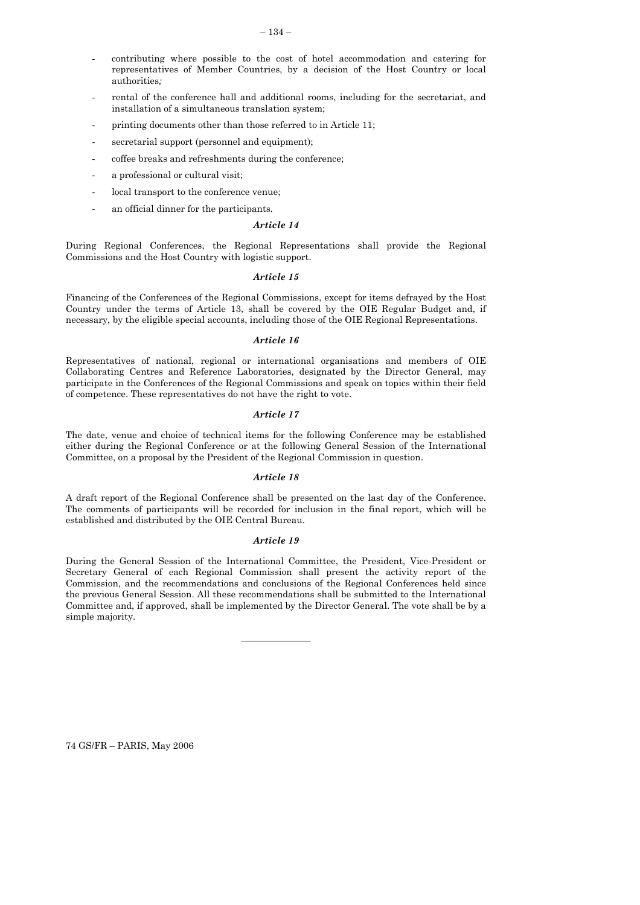- contributing where possible to the cost of hotel accommodation and catering for representatives of Member Countries, by a decision of the Host Country or local authorities*;*
- rental of the conference hall and additional rooms, including for the secretariat, and installation of a simultaneous translation system;
- printing documents other than those referred to in Article 11;
- secretarial support (personnel and equipment);
- coffee breaks and refreshments during the conference;
- a professional or cultural visit;
- local transport to the conference venue;
- an official dinner for the participants*.*

#### *Article 14*

During Regional Conferences, the Regional Representations shall provide the Regional Commissions and the Host Country with logistic support.

#### *Article 15*

Financing of the Conferences of the Regional Commissions, except for items defrayed by the Host Country under the terms of Article 13, shall be covered by the OIE Regular Budget and, if necessary, by the eligible special accounts, including those of the OIE Regional Representations.

#### *Article 16*

Representatives of national, regional or international organisations and members of OIE Collaborating Centres and Reference Laboratories, designated by the Director General, may participate in the Conferences of the Regional Commissions and speak on topics within their field of competence. These representatives do not have the right to vote.

#### *Article 17*

The date, venue and choice of technical items for the following Conference may be established either during the Regional Conference or at the following General Session of the International Committee, on a proposal by the President of the Regional Commission in question.

#### *Article 18*

A draft report of the Regional Conference shall be presented on the last day of the Conference. The comments of participants will be recorded for inclusion in the final report, which will be established and distributed by the OIE Central Bureau.

#### *Article 19*

During the General Session of the International Committee, the President, Vice-President or Secretary General of each Regional Commission shall present the activity report of the Commission, and the recommendations and conclusions of the Regional Conferences held since the previous General Session. All these recommendations shall be submitted to the International Committee and, if approved, shall be implemented by the Director General. The vote shall be by a simple majority.

 $\mathcal{L}=\mathcal{L}^{\mathcal{L}}$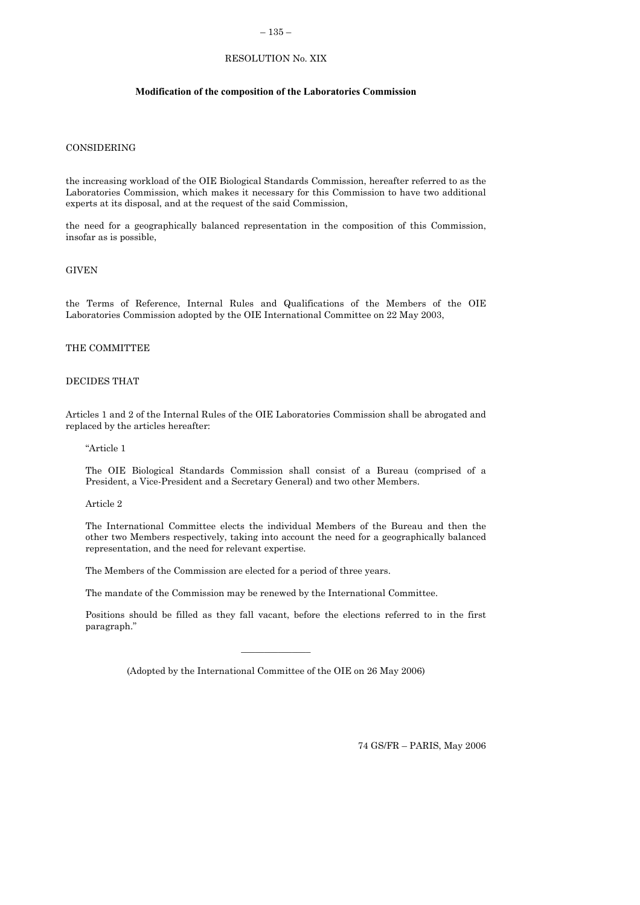### – 135 –

# RESOLUTION No. XIX

#### **Modification of the composition of the Laboratories Commission**

## CONSIDERING

the increasing workload of the OIE Biological Standards Commission, hereafter referred to as the Laboratories Commission, which makes it necessary for this Commission to have two additional experts at its disposal, and at the request of the said Commission,

the need for a geographically balanced representation in the composition of this Commission, insofar as is possible,

### **GIVEN**

the Terms of Reference, Internal Rules and Qualifications of the Members of the OIE Laboratories Commission adopted by the OIE International Committee on 22 May 2003,

## THE COMMITTEE

#### DECIDES THAT

Articles 1 and 2 of the Internal Rules of the OIE Laboratories Commission shall be abrogated and replaced by the articles hereafter:

"Article 1

The OIE Biological Standards Commission shall consist of a Bureau (comprised of a President, a Vice-President and a Secretary General) and two other Members.

Article 2

The International Committee elects the individual Members of the Bureau and then the other two Members respectively, taking into account the need for a geographically balanced representation, and the need for relevant expertise.

The Members of the Commission are elected for a period of three years.

The mandate of the Commission may be renewed by the International Committee.

Positions should be filled as they fall vacant, before the elections referred to in the first paragraph."

(Adopted by the International Committee of the OIE on 26 May 2006)

 $\frac{1}{2}$  ,  $\frac{1}{2}$  ,  $\frac{1}{2}$  ,  $\frac{1}{2}$  ,  $\frac{1}{2}$  ,  $\frac{1}{2}$  ,  $\frac{1}{2}$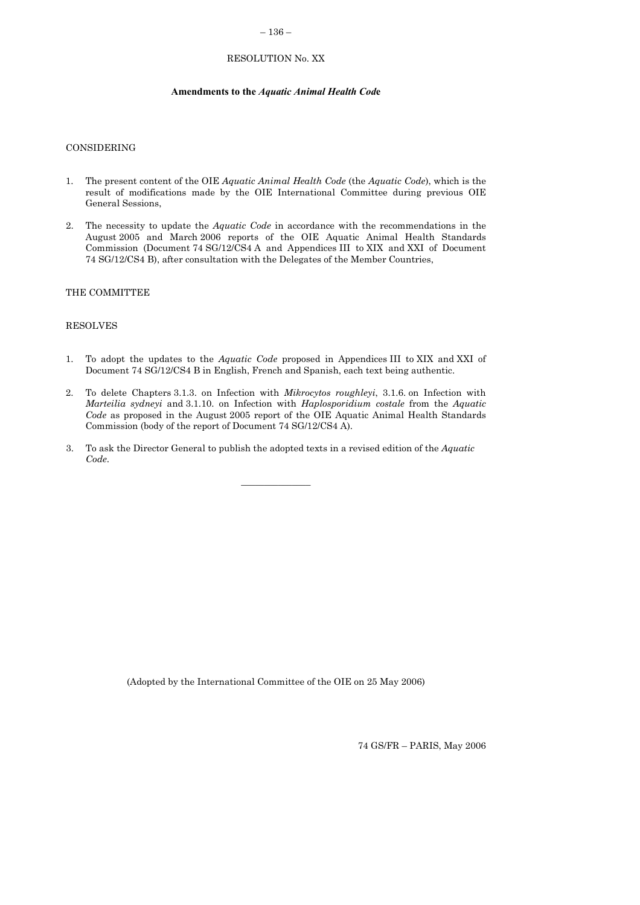### – 136 –

# RESOLUTION No. XX

#### **Amendments to the** *Aquatic Animal Health Cod***e**

## <span id="page-27-0"></span>CONSIDERING

- 1. The present content of the OIE *Aquatic Animal Health Code* (the *Aquatic Code*), which is the result of modifications made by the OIE International Committee during previous OIE General Sessions,
- 2. The necessity to update the *Aquatic Code* in accordance with the recommendations in the August 2005 and March 2006 reports of the OIE Aquatic Animal Health Standards Commission (Document 74 SG/12/CS4 A and Appendices III to XIX and XXI of Document 74 SG/12/CS4 B), after consultation with the Delegates of the Member Countries,

#### THE COMMITTEE

### RESOLVES

- 1. To adopt the updates to the *Aquatic Code* proposed in Appendices III to XIX and XXI of Document 74 SG/12/CS4 B in English, French and Spanish, each text being authentic.
- 2. To delete Chapters 3.1.3. on Infection with *Mikrocytos roughleyi*, 3.1.6. on Infection with *Marteilia sydneyi* and 3.1.10. on Infection with *Haplosporidium costale* from the *Aquatic Code* as proposed in the August 2005 report of the OIE Aquatic Animal Health Standards Commission (body of the report of Document 74 SG/12/CS4 A).
- 3. To ask the Director General to publish the adopted texts in a revised edition of the *Aquatic Code*.

 $\frac{1}{2}$  ,  $\frac{1}{2}$  ,  $\frac{1}{2}$  ,  $\frac{1}{2}$  ,  $\frac{1}{2}$  ,  $\frac{1}{2}$  ,  $\frac{1}{2}$ 

(Adopted by the International Committee of the OIE on 25 May 2006)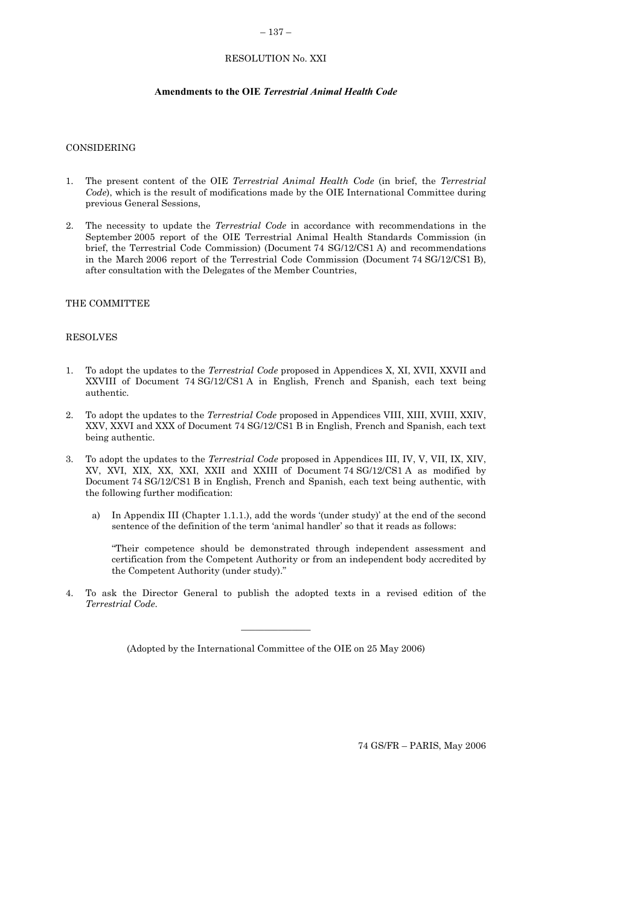## – 137 –

# RESOLUTION No. XXI

## **Amendments to the OIE** *Terrestrial Animal Health Code*

## <span id="page-28-0"></span>CONSIDERING

- 1. The present content of the OIE *Terrestrial Animal Health Code* (in brief, the *Terrestrial Code*), which is the result of modifications made by the OIE International Committee during previous General Sessions,
- 2. The necessity to update the *Terrestrial Code* in accordance with recommendations in the September 2005 report of the OIE Terrestrial Animal Health Standards Commission (in brief, the Terrestrial Code Commission) (Document 74 SG/12/CS1 A) and recommendations in the March 2006 report of the Terrestrial Code Commission (Document 74 SG/12/CS1 B), after consultation with the Delegates of the Member Countries,

## THE COMMITTEE

#### RESOLVES

- 1. To adopt the updates to the *Terrestrial Code* proposed in Appendices X, XI, XVII, XXVII and XXVIII of Document 74 SG/12/CS1 A in English, French and Spanish, each text being authentic.
- 2. To adopt the updates to the *Terrestrial Code* proposed in Appendices VIII, XIII, XVIII, XXIV, XXV, XXVI and XXX of Document 74 SG/12/CS1 B in English, French and Spanish, each text being authentic.
- 3. To adopt the updates to the *Terrestrial Code* proposed in Appendices III, IV, V, VII, IX, XIV, XV, XVI, XIX, XX, XXI, XXII and XXIII of Document 74 SG/12/CS1 A as modified by Document 74 SG/12/CS1 B in English, French and Spanish, each text being authentic, with the following further modification:
	- a) In Appendix III (Chapter 1.1.1.), add the words '(under study)' at the end of the second sentence of the definition of the term 'animal handler' so that it reads as follows:

"Their competence should be demonstrated through independent assessment and certification from the Competent Authority or from an independent body accredited by the Competent Authority (under study)."

4. To ask the Director General to publish the adopted texts in a revised edition of the *Terrestrial Code*.

(Adopted by the International Committee of the OIE on 25 May 2006)

 $\frac{1}{2}$  ,  $\frac{1}{2}$  ,  $\frac{1}{2}$  ,  $\frac{1}{2}$  ,  $\frac{1}{2}$  ,  $\frac{1}{2}$  ,  $\frac{1}{2}$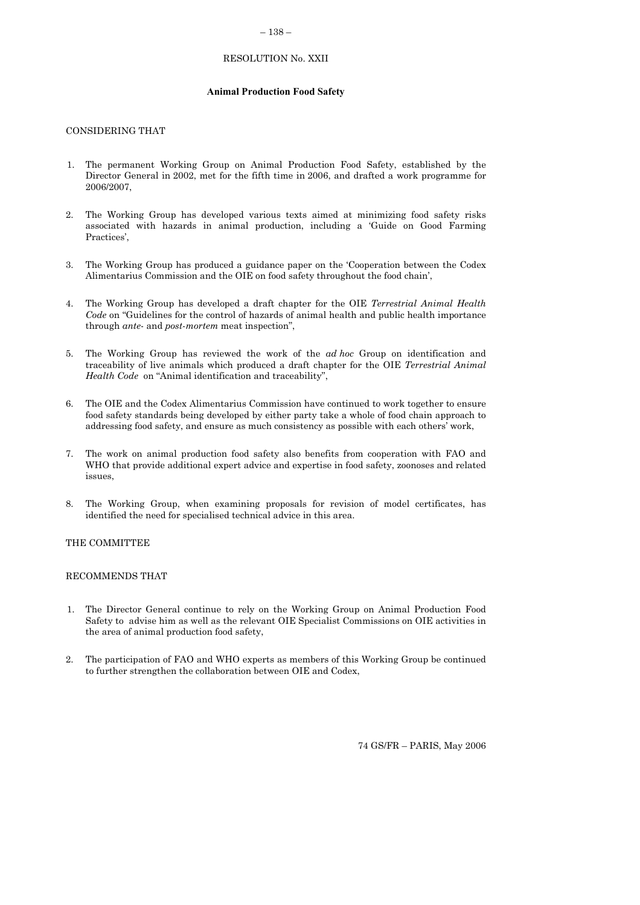#### – 138 –

## RESOLUTION No. XXII

### **Animal Production Food Safety**

### <span id="page-29-0"></span>CONSIDERING THAT

- 1. The permanent Working Group on Animal Production Food Safety, established by the Director General in 2002, met for the fifth time in 2006, and drafted a work programme for 2006/2007,
- 2. The Working Group has developed various texts aimed at minimizing food safety risks associated with hazards in animal production, including a 'Guide on Good Farming Practices',
- 3. The Working Group has produced a guidance paper on the 'Cooperation between the Codex Alimentarius Commission and the OIE on food safety throughout the food chain',
- 4. The Working Group has developed a draft chapter for the OIE *Terrestrial Animal Health Code* on "Guidelines for the control of hazards of animal health and public health importance through *ante*- and *post*-*mortem* meat inspection",
- 5. The Working Group has reviewed the work of the *ad hoc* Group on identification and traceability of live animals which produced a draft chapter for the OIE *Terrestrial Animal Health Code* on "Animal identification and traceability",
- 6. The OIE and the Codex Alimentarius Commission have continued to work together to ensure food safety standards being developed by either party take a whole of food chain approach to addressing food safety, and ensure as much consistency as possible with each others' work,
- 7. The work on animal production food safety also benefits from cooperation with FAO and WHO that provide additional expert advice and expertise in food safety, zoonoses and related issues,
- 8. The Working Group, when examining proposals for revision of model certificates, has identified the need for specialised technical advice in this area.

#### THE COMMITTEE

## RECOMMENDS THAT

- 1. The Director General continue to rely on the Working Group on Animal Production Food Safety to advise him as well as the relevant OIE Specialist Commissions on OIE activities in the area of animal production food safety,
- 2. The participation of FAO and WHO experts as members of this Working Group be continued to further strengthen the collaboration between OIE and Codex,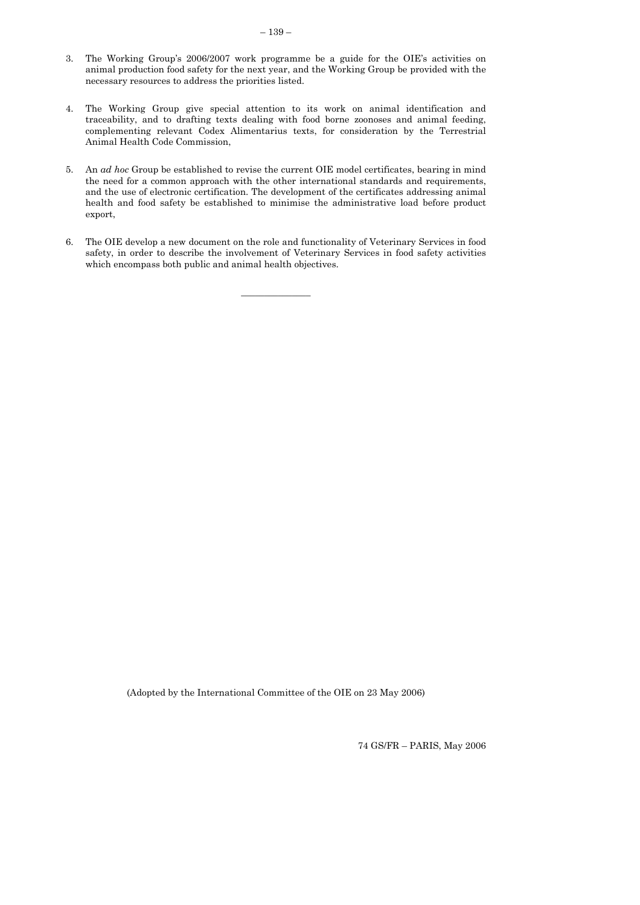- <span id="page-30-0"></span>3. The Working Group's 2006/2007 work programme be a guide for the OIE's activities on animal production food safety for the next year, and the Working Group be provided with the necessary resources to address the priorities listed.
- 4. The Working Group give special attention to its work on animal identification and traceability, and to drafting texts dealing with food borne zoonoses and animal feeding, complementing relevant Codex Alimentarius texts, for consideration by the Terrestrial Animal Health Code Commission,
- 5. An *ad hoc* Group be established to revise the current OIE model certificates, bearing in mind the need for a common approach with the other international standards and requirements, and the use of electronic certification. The development of the certificates addressing animal health and food safety be established to minimise the administrative load before product export,
- 6. The OIE develop a new document on the role and functionality of Veterinary Services in food safety, in order to describe the involvement of Veterinary Services in food safety activities which encompass both public and animal health objectives.

 $\frac{1}{2}$  ,  $\frac{1}{2}$  ,  $\frac{1}{2}$  ,  $\frac{1}{2}$  ,  $\frac{1}{2}$  ,  $\frac{1}{2}$  ,  $\frac{1}{2}$ 

(Adopted by the International Committee of the OIE on 23 May 2006)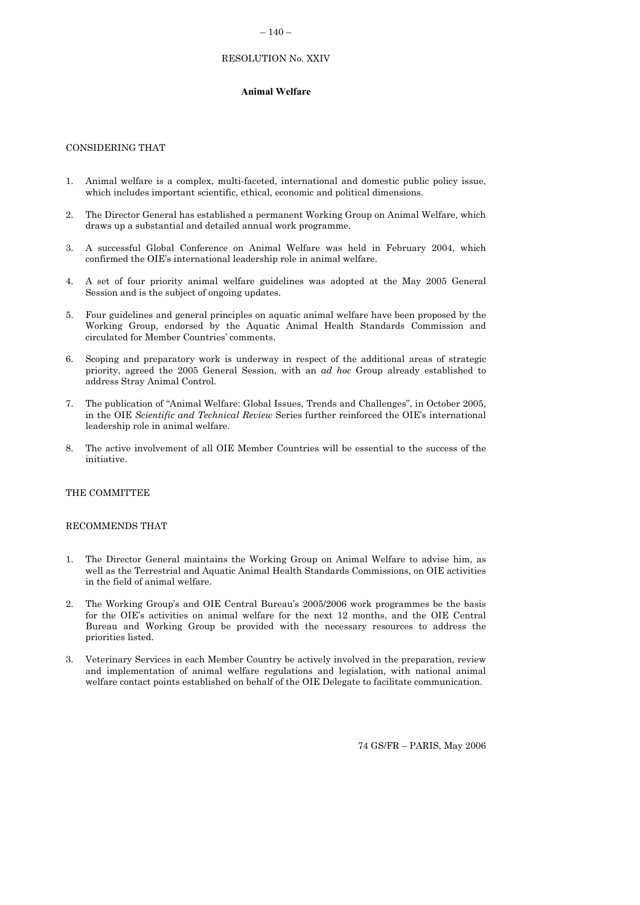### $-140-$

## RESOLUTION No. XXIV

## **Animal Welfare**

#### CONSIDERING THAT

- 1. Animal welfare is a complex, multi-faceted, international and domestic public policy issue, which includes important scientific, ethical, economic and political dimensions.
- 2. The Director General has established a permanent Working Group on Animal Welfare, which draws up a substantial and detailed annual work programme.
- 3. A successful Global Conference on Animal Welfare was held in February 2004, which confirmed the OIE's international leadership role in animal welfare.
- 4. A set of four priority animal welfare guidelines was adopted at the May 2005 General Session and is the subject of ongoing updates.
- 5. Four guidelines and general principles on aquatic animal welfare have been proposed by the Working Group, endorsed by the Aquatic Animal Health Standards Commission and circulated for Member Countries' comments.
- 6. Scoping and preparatory work is underway in respect of the additional areas of strategic priority, agreed the 2005 General Session, with an *ad hoc* Group already established to address Stray Animal Control.
- 7. The publication of "Animal Welfare: Global Issues, Trends and Challenges", in October 2005, in the OIE *Scientific and Technical Review* Series further reinforced the OIE's international leadership role in animal welfare.
- 8. The active involvement of all OIE Member Countries will be essential to the success of the initiative.

#### THE COMMITTEE

#### RECOMMENDS THAT

- 1. The Director General maintains the Working Group on Animal Welfare to advise him, as well as the Terrestrial and Aquatic Animal Health Standards Commissions, on OIE activities in the field of animal welfare.
- 2. The Working Group's and OIE Central Bureau's 2005/2006 work programmes be the basis for the OIE's activities on animal welfare for the next 12 months, and the OIE Central Bureau and Working Group be provided with the necessary resources to address the priorities listed.
- 3. Veterinary Services in each Member Country be actively involved in the preparation, review and implementation of animal welfare regulations and legislation, with national animal welfare contact points established on behalf of the OIE Delegate to facilitate communication.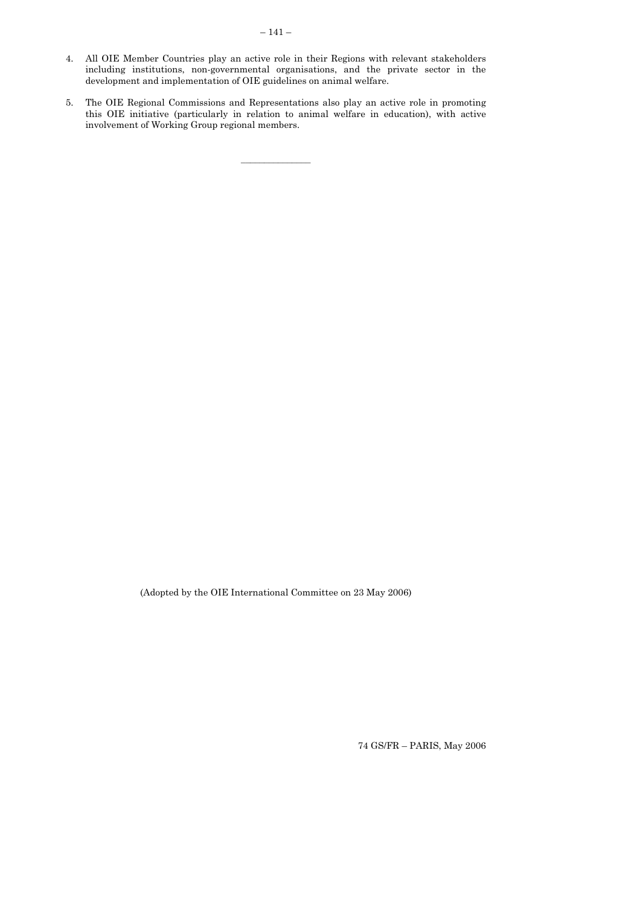- 4. All OIE Member Countries play an active role in their Regions with relevant stakeholders including institutions, non-governmental organisations, and the private sector in the development and implementation of OIE guidelines on animal welfare.
- 5. The OIE Regional Commissions and Representations also play an active role in promoting this OIE initiative (particularly in relation to animal welfare in education), with active involvement of Working Group regional members.

 $\mathcal{L}=\mathcal{L}^{\mathcal{L}}$ 

(Adopted by the OIE International Committee on 23 May 2006)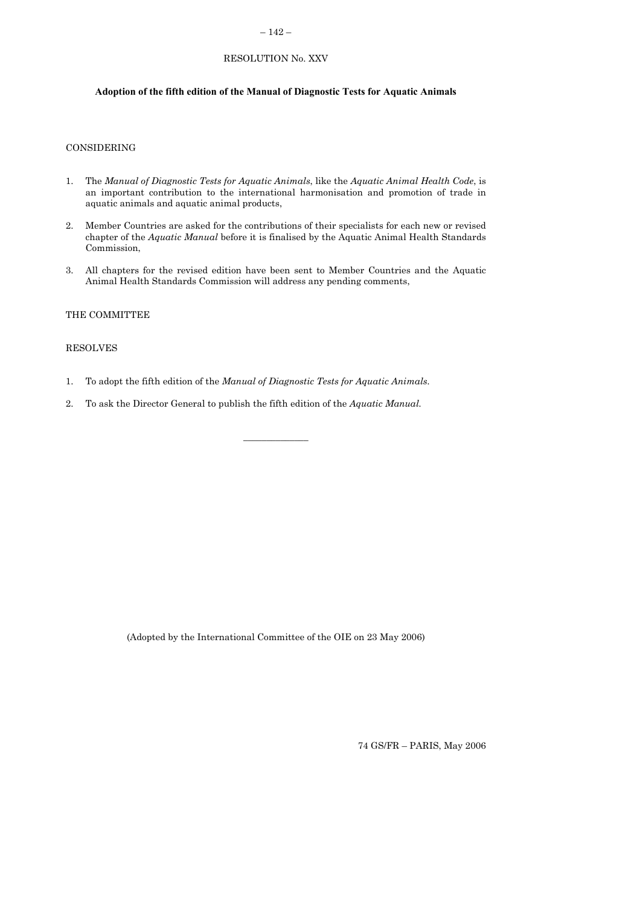## $-142-$

# RESOLUTION No. XXV

## **Adoption of the fifth edition of the Manual of Diagnostic Tests for Aquatic Animals**

## CONSIDERING

- 1. The *Manual of Diagnostic Tests for Aquatic Animals*, like the *Aquatic Animal Health Code*, is an important contribution to the international harmonisation and promotion of trade in aquatic animals and aquatic animal products,
- 2. Member Countries are asked for the contributions of their specialists for each new or revised chapter of the *Aquatic Manual* before it is finalised by the Aquatic Animal Health Standards Commission,
- 3. All chapters for the revised edition have been sent to Member Countries and the Aquatic Animal Health Standards Commission will address any pending comments,

 $\overline{\phantom{a}}$  , where  $\overline{\phantom{a}}$ 

## THE COMMITTEE

## RESOLVES

- 1. To adopt the fifth edition of the *Manual of Diagnostic Tests for Aquatic Animals.*
- 2. To ask the Director General to publish the fifth edition of the *Aquatic Manual.*

(Adopted by the International Committee of the OIE on 23 May 2006)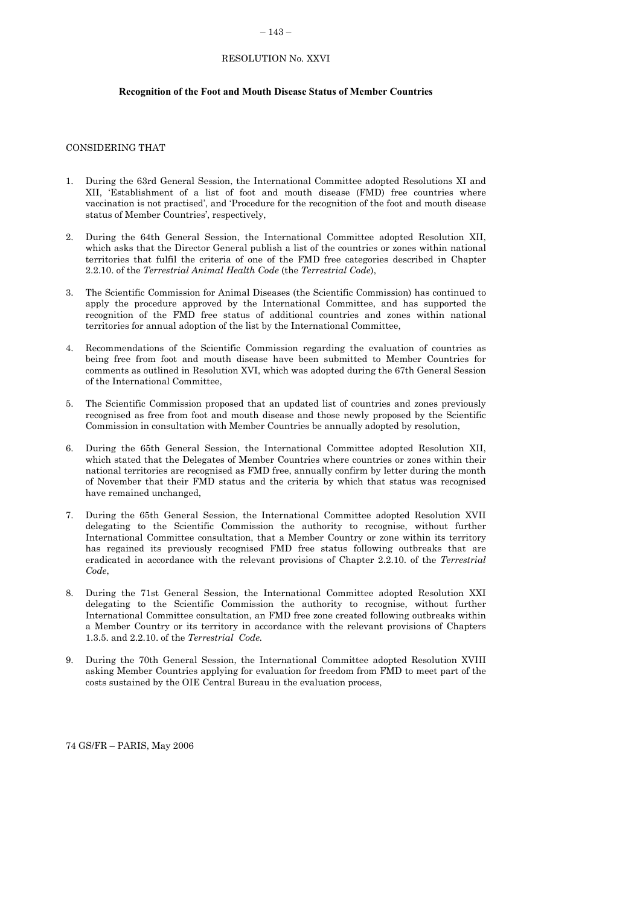#### $-143-$

## RESOLUTION No. XXVI

#### <span id="page-34-0"></span>**Recognition of the Foot and Mouth Disease Status of Member Countries**

## CONSIDERING THAT

- 1. During the 63rd General Session, the International Committee adopted Resolutions XI and XII, 'Establishment of a list of foot and mouth disease (FMD) free countries where vaccination is not practised', and 'Procedure for the recognition of the foot and mouth disease status of Member Countries', respectively,
- 2. During the 64th General Session, the International Committee adopted Resolution XII, which asks that the Director General publish a list of the countries or zones within national territories that fulfil the criteria of one of the FMD free categories described in Chapter 2.2.10. of the *Terrestrial Animal Health Code* (the *Terrestrial Code*),
- 3. The Scientific Commission for Animal Diseases (the Scientific Commission) has continued to apply the procedure approved by the International Committee, and has supported the recognition of the FMD free status of additional countries and zones within national territories for annual adoption of the list by the International Committee,
- 4. Recommendations of the Scientific Commission regarding the evaluation of countries as being free from foot and mouth disease have been submitted to Member Countries for comments as outlined in Resolution XVI, which was adopted during the 67th General Session of the International Committee,
- 5. The Scientific Commission proposed that an updated list of countries and zones previously recognised as free from foot and mouth disease and those newly proposed by the Scientific Commission in consultation with Member Countries be annually adopted by resolution,
- 6. During the 65th General Session, the International Committee adopted Resolution XII, which stated that the Delegates of Member Countries where countries or zones within their national territories are recognised as FMD free, annually confirm by letter during the month of November that their FMD status and the criteria by which that status was recognised have remained unchanged,
- 7. During the 65th General Session, the International Committee adopted Resolution XVII delegating to the Scientific Commission the authority to recognise, without further International Committee consultation, that a Member Country or zone within its territory has regained its previously recognised FMD free status following outbreaks that are eradicated in accordance with the relevant provisions of Chapter 2.2.10. of the *Terrestrial Code*,
- 8. During the 71st General Session, the International Committee adopted Resolution XXI delegating to the Scientific Commission the authority to recognise, without further International Committee consultation, an FMD free zone created following outbreaks within a Member Country or its territory in accordance with the relevant provisions of Chapters 1.3.5. and 2.2.10. of the *Terrestrial Code.*
- 9. During the 70th General Session, the International Committee adopted Resolution XVIII asking Member Countries applying for evaluation for freedom from FMD to meet part of the costs sustained by the OIE Central Bureau in the evaluation process,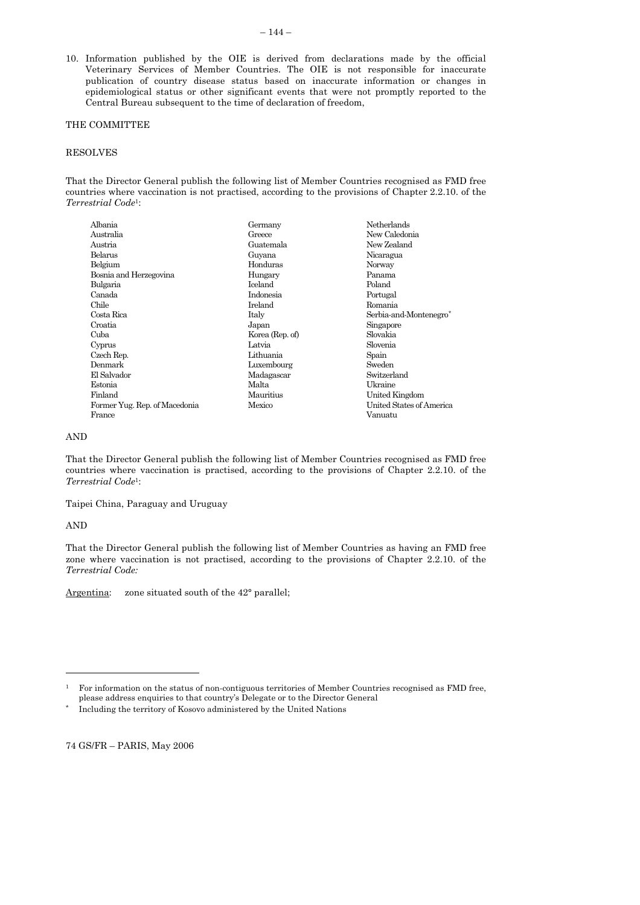### <span id="page-35-0"></span>THE COMMITTEE

#### RESOLVES

That the Director General publish the following list of Member Countries recognised as FMD free countries where vaccination is not practised, according to the provisions of Chapter 2.2.10. of the *Terrestrial Code*1:

| Albania                       | Germany         | <b>Netherlands</b>       |
|-------------------------------|-----------------|--------------------------|
| Australia                     | Greece          | New Caledonia            |
| Austria                       | Guatemala       | New Zealand              |
| Belarus                       | Guyana          | Nicaragua                |
| Belgium                       | Honduras        | Norway                   |
| Bosnia and Herzegovina        | Hungary         | Panama                   |
| Bulgaria                      | <b>Iceland</b>  | Poland                   |
| Canada                        | Indonesia       | Portugal                 |
| Chile                         | Ireland         | Romania                  |
| Costa Rica                    | Italy           | Serbia-and-Montenegro*   |
| Croatia                       | Japan           | Singapore                |
| Cuba                          | Korea (Rep. of) | Slovakia                 |
| Cyprus                        | Latvia          | Slovenia                 |
| Czech Rep.                    | Lithuania       | Spain                    |
| Denmark                       | Luxembourg      | Sweden                   |
| El Salvador                   | Madagascar      | Switzerland              |
| Estonia                       | Malta           | Ukraine                  |
| Finland                       | Mauritius       | United Kingdom           |
| Former Yug. Rep. of Macedonia | Mexico          | United States of America |
| France                        |                 | Vanuatu                  |

#### AND

That the Director General publish the following list of Member Countries recognised as FMD free countries where vaccination is practised, according to the provisions of Chapter 2.2.10. of the *Terrestrial Code*1:

Taipei China, Paraguay and Uruguay

### AND

 $\overline{a}$ 

That the Director General publish the following list of Member Countries as having an FMD free zone where vaccination is not practised, according to the provisions of Chapter 2.2.10. of the *Terrestrial Code:*

Argentina: zone situated south of the 42° parallel;

<sup>1</sup> For information on the status of non-contiguous territories of Member Countries recognised as FMD free, please address enquiries to that country's Delegate or to the Director General

<sup>\*</sup> Including the territory of Kosovo administered by the United Nations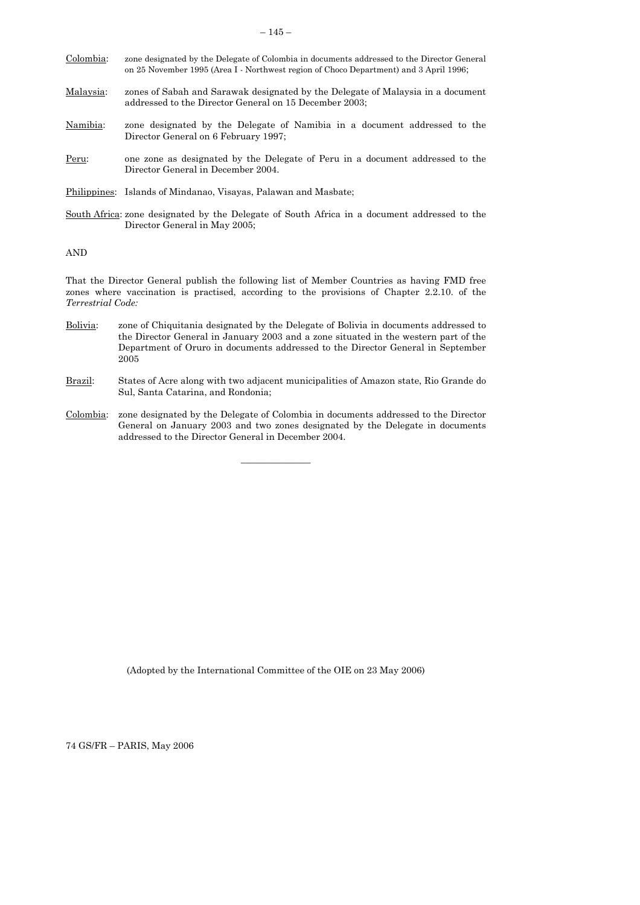| Colombia: | zone designated by the Delegate of Colombia in documents addressed to the Director General<br>on 25 November 1995 (Area I - Northwest region of Choco Department) and 3 April 1996; |
|-----------|-------------------------------------------------------------------------------------------------------------------------------------------------------------------------------------|
| Malaysia: | zones of Sabah and Sarawak designated by the Delegate of Malaysia in a document<br>addressed to the Director General on 15 December 2003;                                           |

- Namibia: zone designated by the Delegate of Namibia in a document addressed to the Director General on 6 February 1997;
- Peru: one zone as designated by the Delegate of Peru in a document addressed to the Director General in December 2004.

Philippines: Islands of Mindanao, Visayas, Palawan and Masbate;

South Africa: zone designated by the Delegate of South Africa in a document addressed to the Director General in May 2005;

AND

That the Director General publish the following list of Member Countries as having FMD free zones where vaccination is practised, according to the provisions of Chapter 2.2.10. of the *Terrestrial Code:* 

- Bolivia: zone of Chiquitania designated by the Delegate of Bolivia in documents addressed to the Director General in January 2003 and a zone situated in the western part of the Department of Oruro in documents addressed to the Director General in September 2005
- Brazil: States of Acre along with two adjacent municipalities of Amazon state, Rio Grande do Sul, Santa Catarina, and Rondonia;
- Colombia: zone designated by the Delegate of Colombia in documents addressed to the Director General on January 2003 and two zones designated by the Delegate in documents addressed to the Director General in December 2004.

 $\overline{\phantom{a}}$  , where  $\overline{\phantom{a}}$ 

(Adopted by the International Committee of the OIE on 23 May 2006)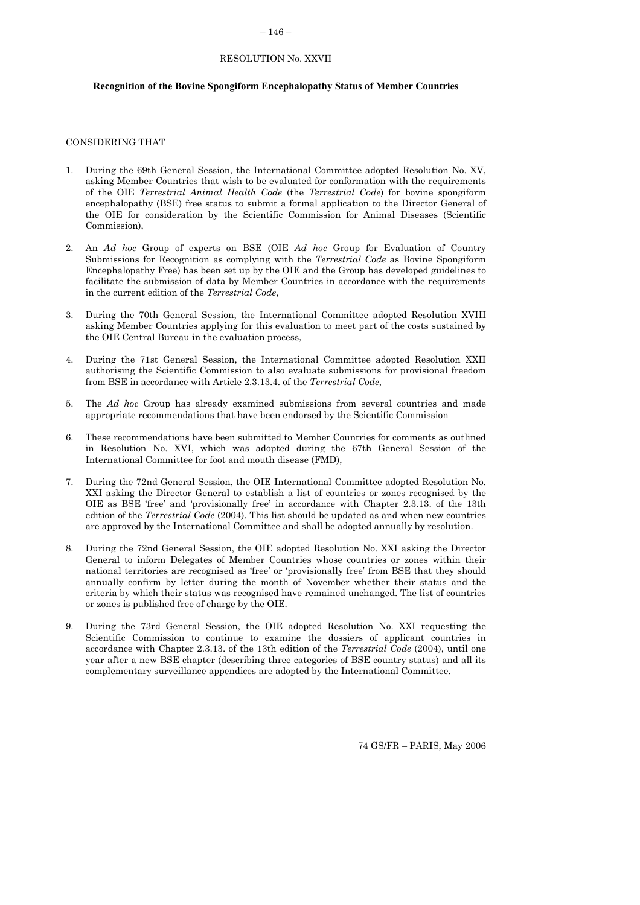#### – 146 –

#### RESOLUTION No. XXVII

#### **Recognition of the Bovine Spongiform Encephalopathy Status of Member Countries**

#### CONSIDERING THAT

- 1. During the 69th General Session, the International Committee adopted Resolution No. XV, asking Member Countries that wish to be evaluated for conformation with the requirements of the OIE *Terrestrial Animal Health Code* (the *Terrestrial Code*) for bovine spongiform encephalopathy (BSE) free status to submit a formal application to the Director General of the OIE for consideration by the Scientific Commission for Animal Diseases (Scientific Commission),
- 2. An *Ad hoc* Group of experts on BSE (OIE *Ad hoc* Group for Evaluation of Country Submissions for Recognition as complying with the *Terrestrial Code* as Bovine Spongiform Encephalopathy Free) has been set up by the OIE and the Group has developed guidelines to facilitate the submission of data by Member Countries in accordance with the requirements in the current edition of the *Terrestrial Code*,
- 3. During the 70th General Session, the International Committee adopted Resolution XVIII asking Member Countries applying for this evaluation to meet part of the costs sustained by the OIE Central Bureau in the evaluation process,
- 4. During the 71st General Session, the International Committee adopted Resolution XXII authorising the Scientific Commission to also evaluate submissions for provisional freedom from BSE in accordance with Article 2.3.13.4. of the *Terrestrial Code*,
- 5. The *Ad hoc* Group has already examined submissions from several countries and made appropriate recommendations that have been endorsed by the Scientific Commission
- 6. These recommendations have been submitted to Member Countries for comments as outlined in Resolution No. XVI, which was adopted during the 67th General Session of the International Committee for foot and mouth disease (FMD),
- 7. During the 72nd General Session, the OIE International Committee adopted Resolution No. XXI asking the Director General to establish a list of countries or zones recognised by the OIE as BSE 'free' and 'provisionally free' in accordance with Chapter 2.3.13. of the 13th edition of the *Terrestrial Code* (2004). This list should be updated as and when new countries are approved by the International Committee and shall be adopted annually by resolution.
- 8. During the 72nd General Session, the OIE adopted Resolution No. XXI asking the Director General to inform Delegates of Member Countries whose countries or zones within their national territories are recognised as 'free' or 'provisionally free' from BSE that they should annually confirm by letter during the month of November whether their status and the criteria by which their status was recognised have remained unchanged. The list of countries or zones is published free of charge by the OIE.
- 9. During the 73rd General Session, the OIE adopted Resolution No. XXI requesting the Scientific Commission to continue to examine the dossiers of applicant countries in accordance with Chapter 2.3.13. of the 13th edition of the *Terrestrial Code* (2004), until one year after a new BSE chapter (describing three categories of BSE country status) and all its complementary surveillance appendices are adopted by the International Committee.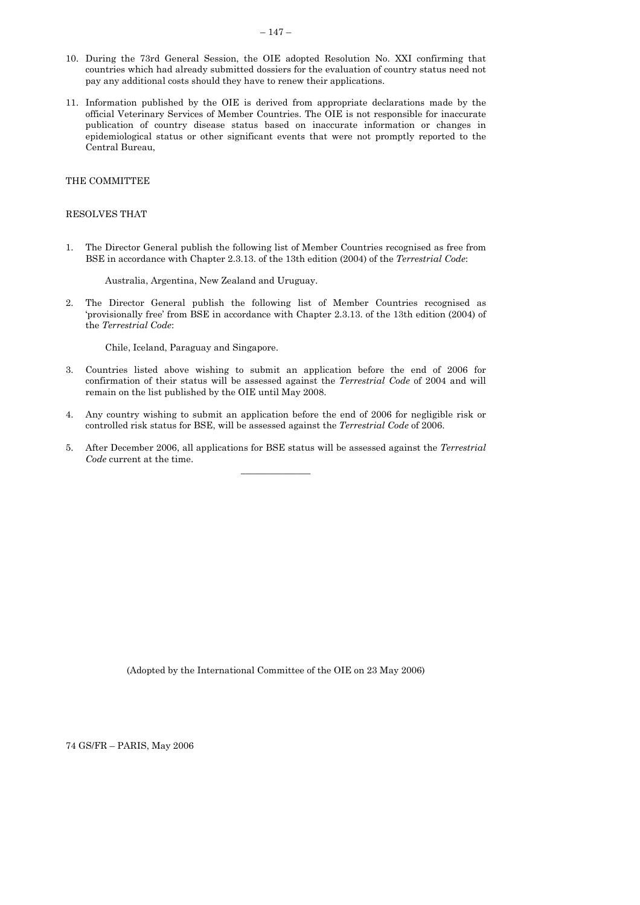- <span id="page-38-0"></span>10. During the 73rd General Session, the OIE adopted Resolution No. XXI confirming that countries which had already submitted dossiers for the evaluation of country status need not pay any additional costs should they have to renew their applications.
- 11. Information published by the OIE is derived from appropriate declarations made by the official Veterinary Services of Member Countries. The OIE is not responsible for inaccurate publication of country disease status based on inaccurate information or changes in epidemiological status or other significant events that were not promptly reported to the Central Bureau,

#### THE COMMITTEE

#### RESOLVES THAT

1. The Director General publish the following list of Member Countries recognised as free from BSE in accordance with Chapter 2.3.13. of the 13th edition (2004) of the *Terrestrial Code*:

Australia, Argentina, New Zealand and Uruguay.

2. The Director General publish the following list of Member Countries recognised as 'provisionally free' from BSE in accordance with Chapter 2.3.13. of the 13th edition (2004) of the *Terrestrial Code*:

Chile, Iceland, Paraguay and Singapore.

- 3. Countries listed above wishing to submit an application before the end of 2006 for confirmation of their status will be assessed against the *Terrestrial Code* of 2004 and will remain on the list published by the OIE until May 2008.
- 4. Any country wishing to submit an application before the end of 2006 for negligible risk or controlled risk status for BSE, will be assessed against the *Terrestrial Code* of 2006.
- 5. After December 2006, all applications for BSE status will be assessed against the *Terrestrial Code* current at the time.  $\frac{1}{2}$  ,  $\frac{1}{2}$  ,  $\frac{1}{2}$  ,  $\frac{1}{2}$  ,  $\frac{1}{2}$  ,  $\frac{1}{2}$  ,  $\frac{1}{2}$

(Adopted by the International Committee of the OIE on 23 May 2006)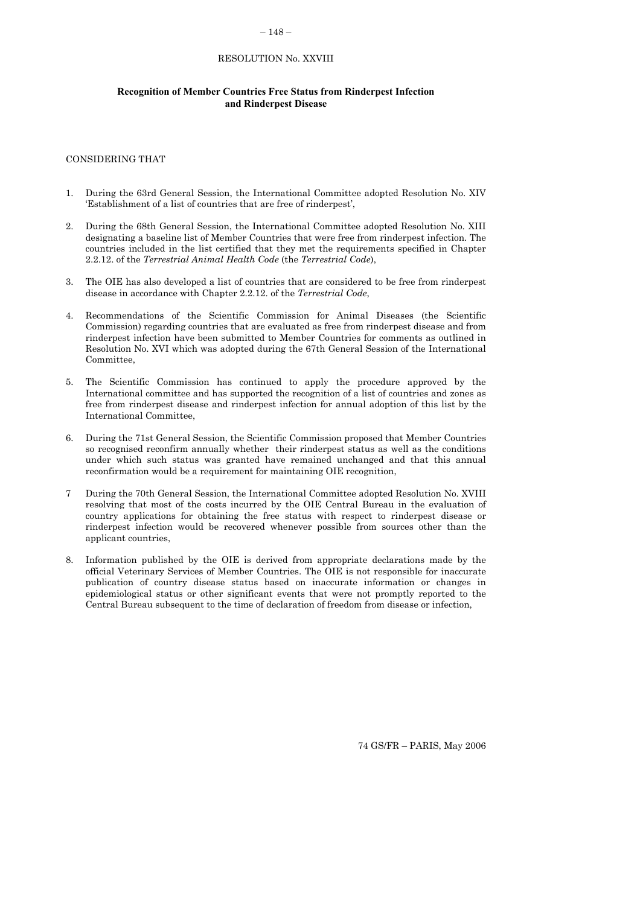### $-148-$

## RESOLUTION No. XXVIII

### **Recognition of Member Countries Free Status from Rinderpest Infection and Rinderpest Disease**

#### CONSIDERING THAT

- 1. During the 63rd General Session, the International Committee adopted Resolution No. XIV 'Establishment of a list of countries that are free of rinderpest',
- 2. During the 68th General Session, the International Committee adopted Resolution No. XIII designating a baseline list of Member Countries that were free from rinderpest infection. The countries included in the list certified that they met the requirements specified in Chapter 2.2.12. of the *Terrestrial Animal Health Code* (the *Terrestrial Code*),
- 3. The OIE has also developed a list of countries that are considered to be free from rinderpest disease in accordance with Chapter 2.2.12. of the *Terrestrial Code*,
- 4. Recommendations of the Scientific Commission for Animal Diseases (the Scientific Commission) regarding countries that are evaluated as free from rinderpest disease and from rinderpest infection have been submitted to Member Countries for comments as outlined in Resolution No. XVI which was adopted during the 67th General Session of the International Committee,
- 5. The Scientific Commission has continued to apply the procedure approved by the International committee and has supported the recognition of a list of countries and zones as free from rinderpest disease and rinderpest infection for annual adoption of this list by the International Committee,
- 6. During the 71st General Session, the Scientific Commission proposed that Member Countries so recognised reconfirm annually whether their rinderpest status as well as the conditions under which such status was granted have remained unchanged and that this annual reconfirmation would be a requirement for maintaining OIE recognition,
- 7 During the 70th General Session, the International Committee adopted Resolution No. XVIII resolving that most of the costs incurred by the OIE Central Bureau in the evaluation of country applications for obtaining the free status with respect to rinderpest disease or rinderpest infection would be recovered whenever possible from sources other than the applicant countries,
- 8. Information published by the OIE is derived from appropriate declarations made by the official Veterinary Services of Member Countries. The OIE is not responsible for inaccurate publication of country disease status based on inaccurate information or changes in epidemiological status or other significant events that were not promptly reported to the Central Bureau subsequent to the time of declaration of freedom from disease or infection,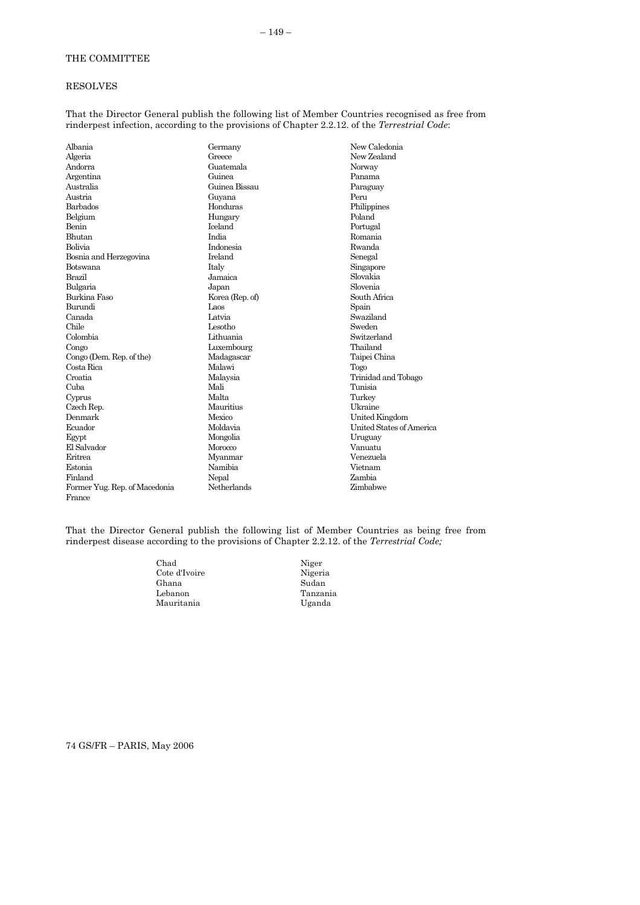## <span id="page-40-0"></span>RESOLVES

That the Director General publish the following list of Member Countries recognised as free from rinderpest infection, according to the provisions of Chapter 2.2.12. of the *Terrestrial Code*:

| Albania                       | Germany         | New Caledonia            |
|-------------------------------|-----------------|--------------------------|
| Algeria                       | Greece          | New Zealand              |
| Andorra                       | Guatemala       | Norway                   |
| Argentina                     | Guinea          | Panama                   |
| Australia                     | Guinea Bissau   | Paraguay                 |
| Austria                       | Guyana          | Peru                     |
| Barbados                      | Honduras        | Philippines              |
| Belgium                       | Hungary         | Poland                   |
| Benin                         | Iceland         | Portugal                 |
| <b>Bhutan</b>                 | India           | Romania                  |
| Bolivia                       | Indonesia       | Rwanda                   |
| Bosnia and Herzegovina        | <b>Ireland</b>  | Senegal                  |
| Botswana                      | Italy           | Singapore                |
| Brazil                        | Jamaica         | Slovakia                 |
| Bulgaria                      | Japan           | Slovenia                 |
| Burkina Faso                  | Korea (Rep. of) | South Africa             |
| Burundi                       | Laos            | Spain                    |
| Canada                        | Latvia          | Swaziland                |
| Chile                         | Lesotho         | Sweden                   |
| Colombia                      | Lithuania       | Switzerland              |
| Congo                         | Luxembourg      | Thailand                 |
| Congo (Dem. Rep. of the)      | Madagascar      | Taipei China             |
| Costa Rica                    | Malawi          | Togo                     |
| Croatia                       | Malaysia        | Trinidad and Tobago      |
| Cuba                          | Mali            | Tunisia                  |
| Cyprus                        | Malta           | Turkey                   |
| Czech Rep.                    | Mauritius       | Ukraine                  |
| Denmark                       | Mexico          | United Kingdom           |
| Ecuador                       | Moldavia        | United States of America |
| Egypt                         | Mongolia        | Uruguay                  |
| El Salvador                   | Morocco         | Vanuatu                  |
| Eritrea                       | Myanmar         | Venezuela                |
| Estonia                       | Namibia         | Vietnam                  |
| Finland                       | Nepal           | Zambia                   |
| Former Yug. Rep. of Macedonia | Netherlands     | Zimbabwe                 |
| France                        |                 |                          |

That the Director General publish the following list of Member Countries as being free from rinderpest disease according to the provisions of Chapter 2.2.12. of the *Terrestrial Code;*

> Niger Nigeria Sudan Tanzania Uganda

| Chad          |  |
|---------------|--|
| Cote d'Ivoire |  |
| Ghana         |  |
| Lebanon       |  |
| Mauritania    |  |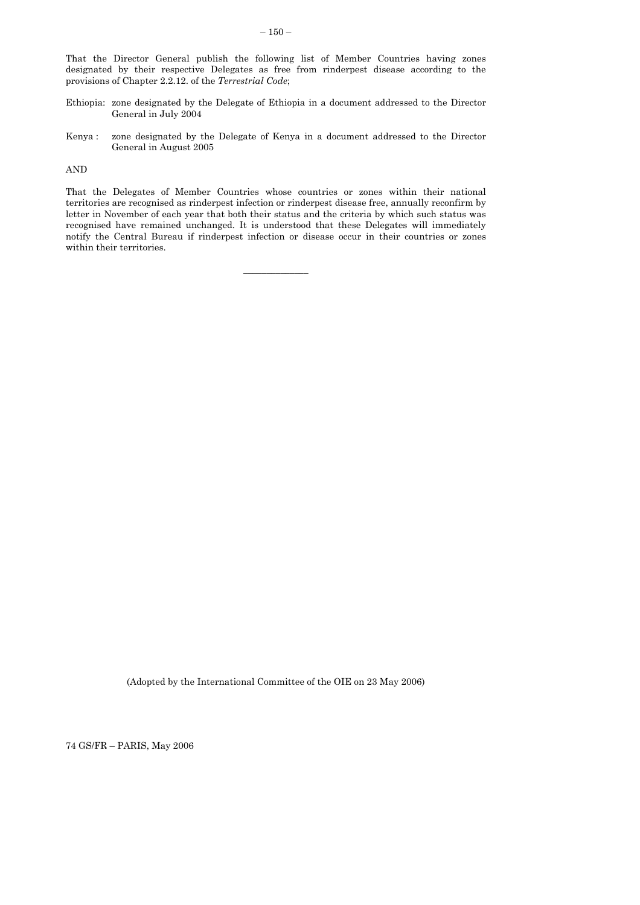That the Director General publish the following list of Member Countries having zones designated by their respective Delegates as free from rinderpest disease according to the provisions of Chapter 2.2.12. of the *Terrestrial Code*;

- Ethiopia: zone designated by the Delegate of Ethiopia in a document addressed to the Director General in July 2004
- Kenya : zone designated by the Delegate of Kenya in a document addressed to the Director General in August 2005

AND

That the Delegates of Member Countries whose countries or zones within their national territories are recognised as rinderpest infection or rinderpest disease free, annually reconfirm by letter in November of each year that both their status and the criteria by which such status was recognised have remained unchanged. It is understood that these Delegates will immediately notify the Central Bureau if rinderpest infection or disease occur in their countries or zones within their territories.

 $\mathcal{L}=\mathcal{L}$  , we have the set of  $\mathcal{L}=\mathcal{L}$ 

(Adopted by the International Committee of the OIE on 23 May 2006)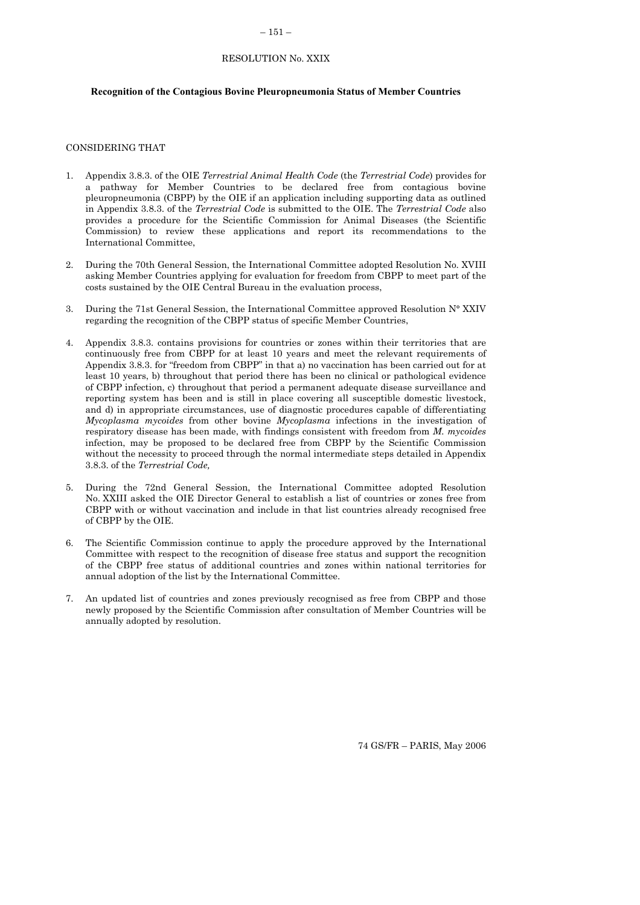### $-151-$

#### RESOLUTION No. XXIX

### **Recognition of the Contagious Bovine Pleuropneumonia Status of Member Countries**

## CONSIDERING THAT

- 1. Appendix 3.8.3. of the OIE *Terrestrial Animal Health Code* (the *Terrestrial Code*) provides for a pathway for Member Countries to be declared free from contagious bovine pleuropneumonia (CBPP) by the OIE if an application including supporting data as outlined in Appendix 3.8.3. of the *Terrestrial Code* is submitted to the OIE. The *Terrestrial Code* also provides a procedure for the Scientific Commission for Animal Diseases (the Scientific Commission) to review these applications and report its recommendations to the International Committee,
- 2. During the 70th General Session, the International Committee adopted Resolution No. XVIII asking Member Countries applying for evaluation for freedom from CBPP to meet part of the costs sustained by the OIE Central Bureau in the evaluation process,
- 3. During the 71st General Session, the International Committee approved Resolution N° XXIV regarding the recognition of the CBPP status of specific Member Countries,
- 4. Appendix 3.8.3. contains provisions for countries or zones within their territories that are continuously free from CBPP for at least 10 years and meet the relevant requirements of Appendix 3.8.3. for "freedom from CBPP" in that a) no vaccination has been carried out for at least 10 years, b) throughout that period there has been no clinical or pathological evidence of CBPP infection, c) throughout that period a permanent adequate disease surveillance and reporting system has been and is still in place covering all susceptible domestic livestock, and d) in appropriate circumstances, use of diagnostic procedures capable of differentiating *Mycoplasma mycoides* from other bovine *Mycoplasma* infections in the investigation of respiratory disease has been made, with findings consistent with freedom from *M. mycoides* infection, may be proposed to be declared free from CBPP by the Scientific Commission without the necessity to proceed through the normal intermediate steps detailed in Appendix 3.8.3. of the *Terrestrial Code,*
- 5. During the 72nd General Session, the International Committee adopted Resolution No. XXIII asked the OIE Director General to establish a list of countries or zones free from CBPP with or without vaccination and include in that list countries already recognised free of CBPP by the OIE.
- 6. The Scientific Commission continue to apply the procedure approved by the International Committee with respect to the recognition of disease free status and support the recognition of the CBPP free status of additional countries and zones within national territories for annual adoption of the list by the International Committee.
- 7. An updated list of countries and zones previously recognised as free from CBPP and those newly proposed by the Scientific Commission after consultation of Member Countries will be annually adopted by resolution.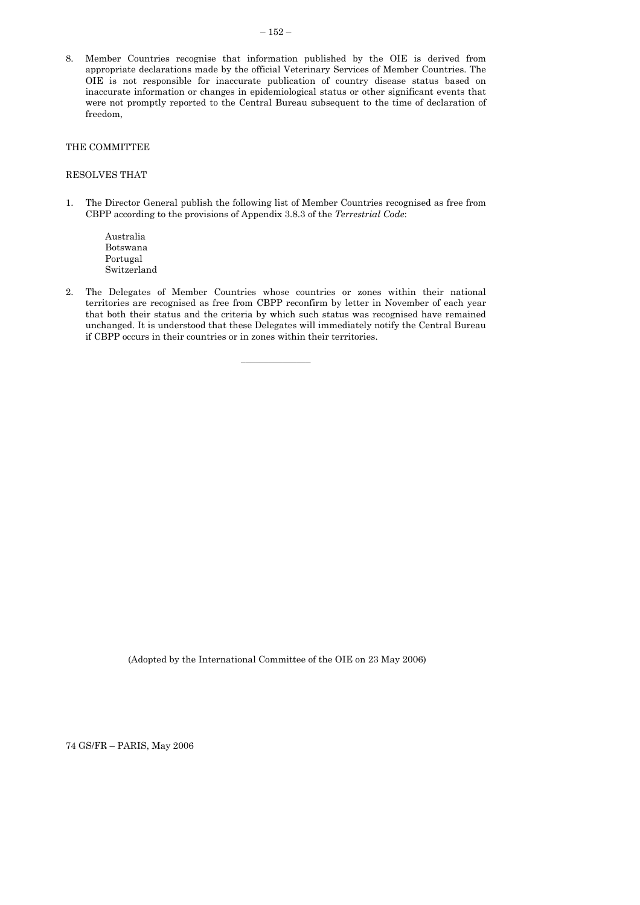<span id="page-43-0"></span>8. Member Countries recognise that information published by the OIE is derived from appropriate declarations made by the official Veterinary Services of Member Countries. The OIE is not responsible for inaccurate publication of country disease status based on inaccurate information or changes in epidemiological status or other significant events that were not promptly reported to the Central Bureau subsequent to the time of declaration of freedom,

## THE COMMITTEE

## RESOLVES THAT

- 1. The Director General publish the following list of Member Countries recognised as free from CBPP according to the provisions of Appendix 3.8.3 of the *Terrestrial Code*:
	- Australia Botswana Portugal Switzerland
- 2. The Delegates of Member Countries whose countries or zones within their national territories are recognised as free from CBPP reconfirm by letter in November of each year that both their status and the criteria by which such status was recognised have remained unchanged. It is understood that these Delegates will immediately notify the Central Bureau if CBPP occurs in their countries or in zones within their territories.

 $\frac{1}{2}$  ,  $\frac{1}{2}$  ,  $\frac{1}{2}$  ,  $\frac{1}{2}$  ,  $\frac{1}{2}$  ,  $\frac{1}{2}$  ,  $\frac{1}{2}$ 

(Adopted by the International Committee of the OIE on 23 May 2006)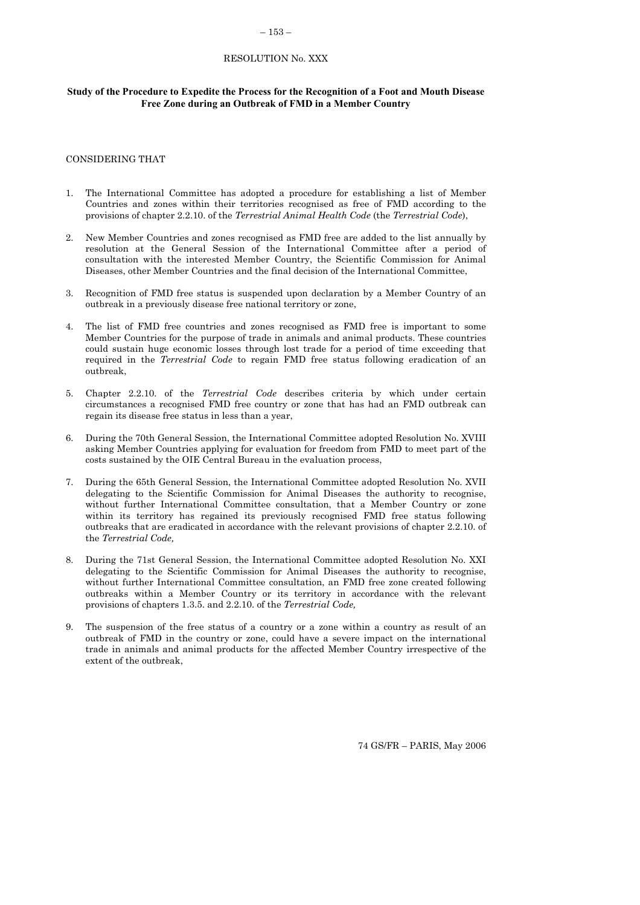#### $-153-$

#### RESOLUTION No. XXX

# **Study of the Procedure to Expedite the Process for the Recognition of a Foot and Mouth Disease Free Zone during an Outbreak of FMD in a Member Country**

#### CONSIDERING THAT

- 1. The International Committee has adopted a procedure for establishing a list of Member Countries and zones within their territories recognised as free of FMD according to the provisions of chapter 2.2.10. of the *Terrestrial Animal Health Code* (the *Terrestrial Code*),
- 2. New Member Countries and zones recognised as FMD free are added to the list annually by resolution at the General Session of the International Committee after a period of consultation with the interested Member Country, the Scientific Commission for Animal Diseases, other Member Countries and the final decision of the International Committee,
- 3. Recognition of FMD free status is suspended upon declaration by a Member Country of an outbreak in a previously disease free national territory or zone,
- 4. The list of FMD free countries and zones recognised as FMD free is important to some Member Countries for the purpose of trade in animals and animal products. These countries could sustain huge economic losses through lost trade for a period of time exceeding that required in the *Terrestrial Code* to regain FMD free status following eradication of an outbreak,
- 5. Chapter 2.2.10. of the *Terrestrial Code* describes criteria by which under certain circumstances a recognised FMD free country or zone that has had an FMD outbreak can regain its disease free status in less than a year,
- 6. During the 70th General Session, the International Committee adopted Resolution No. XVIII asking Member Countries applying for evaluation for freedom from FMD to meet part of the costs sustained by the OIE Central Bureau in the evaluation process,
- 7. During the 65th General Session, the International Committee adopted Resolution No. XVII delegating to the Scientific Commission for Animal Diseases the authority to recognise, without further International Committee consultation, that a Member Country or zone within its territory has regained its previously recognised FMD free status following outbreaks that are eradicated in accordance with the relevant provisions of chapter 2.2.10. of the *Terrestrial Code,*
- 8. During the 71st General Session, the International Committee adopted Resolution No. XXI delegating to the Scientific Commission for Animal Diseases the authority to recognise, without further International Committee consultation, an FMD free zone created following outbreaks within a Member Country or its territory in accordance with the relevant provisions of chapters 1.3.5. and 2.2.10. of the *Terrestrial Code,*
- The suspension of the free status of a country or a zone within a country as result of an outbreak of FMD in the country or zone, could have a severe impact on the international trade in animals and animal products for the affected Member Country irrespective of the extent of the outbreak,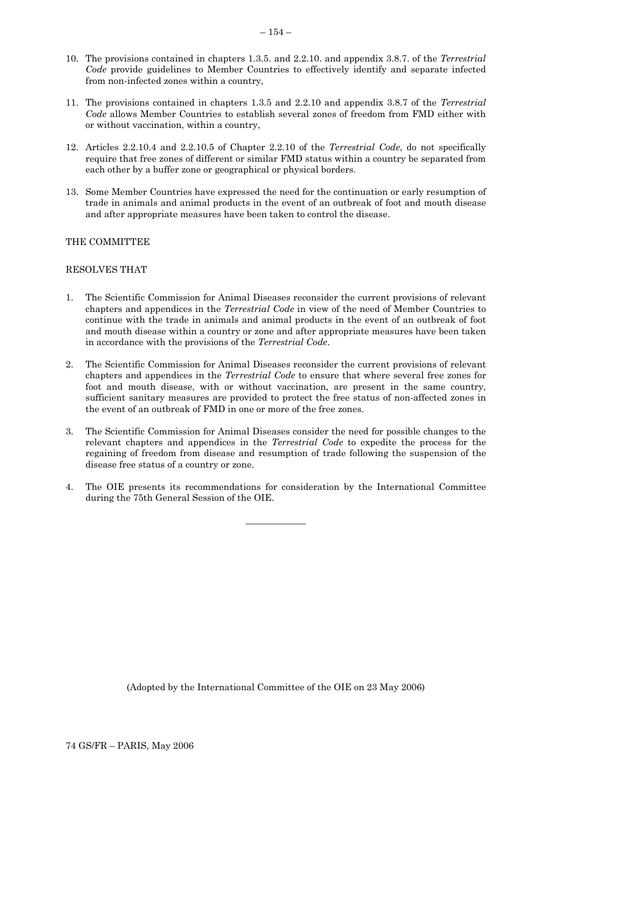- <span id="page-45-0"></span>10. The provisions contained in chapters 1.3.5. and 2.2.10. and appendix 3.8.7. of the *Terrestrial Code* provide guidelines to Member Countries to effectively identify and separate infected from non-infected zones within a country,
- 11. The provisions contained in chapters 1.3.5 and 2.2.10 and appendix 3.8.7 of the *Terrestrial Code* allows Member Countries to establish several zones of freedom from FMD either with or without vaccination, within a country,
- 12. Articles 2.2.10.4 and 2.2.10.5 of Chapter 2.2.10 of the *Terrestrial Code*, do not specifically require that free zones of different or similar FMD status within a country be separated from each other by a buffer zone or geographical or physical borders.
- 13. Some Member Countries have expressed the need for the continuation or early resumption of trade in animals and animal products in the event of an outbreak of foot and mouth disease and after appropriate measures have been taken to control the disease.

## THE COMMITTEE

### RESOLVES THAT

- 1. The Scientific Commission for Animal Diseases reconsider the current provisions of relevant chapters and appendices in the *Terrestrial Code* in view of the need of Member Countries to continue with the trade in animals and animal products in the event of an outbreak of foot and mouth disease within a country or zone and after appropriate measures have been taken in accordance with the provisions of the *Terrestrial Code*.
- 2. The Scientific Commission for Animal Diseases reconsider the current provisions of relevant chapters and appendices in the *Terrestrial Code* to ensure that where several free zones for foot and mouth disease, with or without vaccination, are present in the same country, sufficient sanitary measures are provided to protect the free status of non-affected zones in the event of an outbreak of FMD in one or more of the free zones.
- 3. The Scientific Commission for Animal Diseases consider the need for possible changes to the relevant chapters and appendices in the *Terrestrial Code* to expedite the process for the regaining of freedom from disease and resumption of trade following the suspension of the disease free status of a country or zone.
- 4. The OIE presents its recommendations for consideration by the International Committee during the 75th General Session of the OIE.

 $\overline{\phantom{a}}$ 

(Adopted by the International Committee of the OIE on 23 May 2006)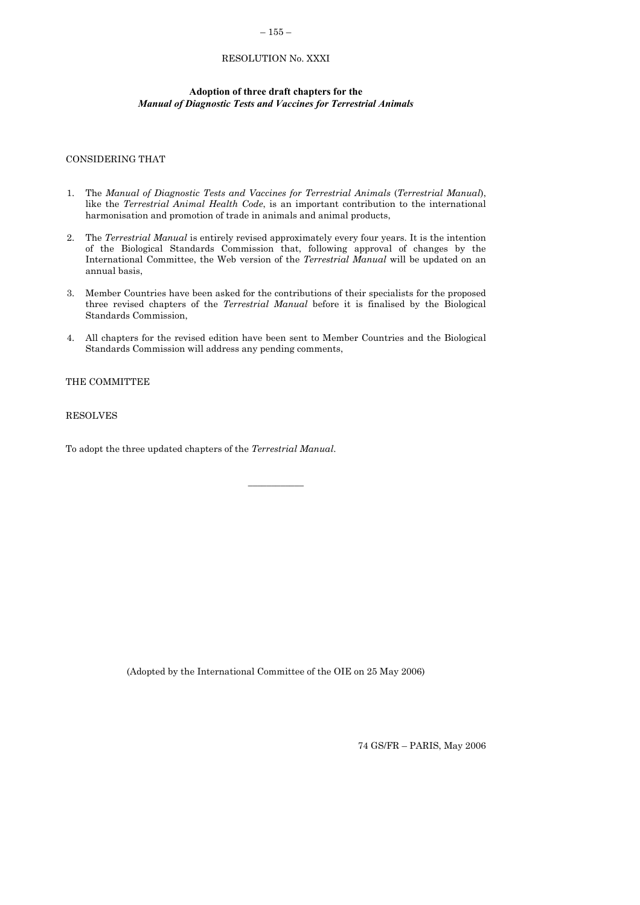## $-155-$

## RESOLUTION No. XXXI

## **Adoption of three draft chapters for the**  *Manual of Diagnostic Tests and Vaccines for Terrestrial Animals*

### CONSIDERING THAT

- 1. The *Manual of Diagnostic Tests and Vaccines for Terrestrial Animals* (*Terrestrial Manual*), like the *Terrestrial Animal Health Code*, is an important contribution to the international harmonisation and promotion of trade in animals and animal products,
- 2. The *Terrestrial Manual* is entirely revised approximately every four years. It is the intention of the Biological Standards Commission that, following approval of changes by the International Committee, the Web version of the *Terrestrial Manual* will be updated on an annual basis,
- 3. Member Countries have been asked for the contributions of their specialists for the proposed three revised chapters of the *Terrestrial Manual* before it is finalised by the Biological Standards Commission,
- 4. All chapters for the revised edition have been sent to Member Countries and the Biological Standards Commission will address any pending comments,

 $\frac{1}{2}$  ,  $\frac{1}{2}$  ,  $\frac{1}{2}$  ,  $\frac{1}{2}$  ,  $\frac{1}{2}$ 

# THE COMMITTEE

RESOLVES

To adopt the three updated chapters of the *Terrestrial Manual*.

(Adopted by the International Committee of the OIE on 25 May 2006)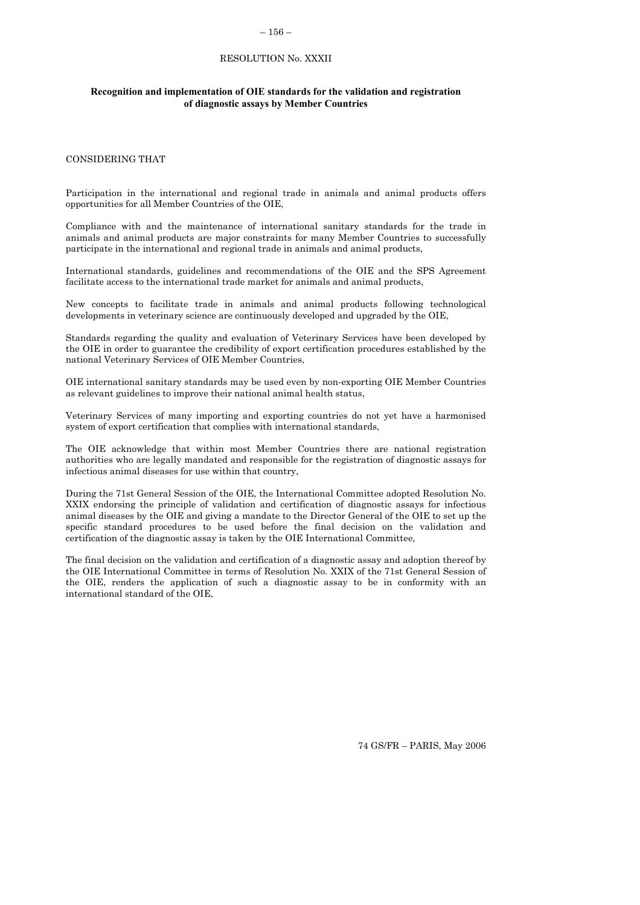#### – 156 –

#### RESOLUTION No. XXXII

### <span id="page-47-0"></span>**Recognition and implementation of OIE standards for the validation and registration of diagnostic assays by Member Countries**

#### CONSIDERING THAT

Participation in the international and regional trade in animals and animal products offers opportunities for all Member Countries of the OIE,

Compliance with and the maintenance of international sanitary standards for the trade in animals and animal products are major constraints for many Member Countries to successfully participate in the international and regional trade in animals and animal products,

International standards, guidelines and recommendations of the OIE and the SPS Agreement facilitate access to the international trade market for animals and animal products,

New concepts to facilitate trade in animals and animal products following technological developments in veterinary science are continuously developed and upgraded by the OIE,

Standards regarding the quality and evaluation of Veterinary Services have been developed by the OIE in order to guarantee the credibility of export certification procedures established by the national Veterinary Services of OIE Member Countries,

OIE international sanitary standards may be used even by non-exporting OIE Member Countries as relevant guidelines to improve their national animal health status,

Veterinary Services of many importing and exporting countries do not yet have a harmonised system of export certification that complies with international standards,

The OIE acknowledge that within most Member Countries there are national registration authorities who are legally mandated and responsible for the registration of diagnostic assays for infectious animal diseases for use within that country,

During the 71st General Session of the OIE, the International Committee adopted Resolution No. XXIX endorsing the principle of validation and certification of diagnostic assays for infectious animal diseases by the OIE and giving a mandate to the Director General of the OIE to set up the specific standard procedures to be used before the final decision on the validation and certification of the diagnostic assay is taken by the OIE International Committee,

The final decision on the validation and certification of a diagnostic assay and adoption thereof by the OIE International Committee in terms of Resolution No. XXIX of the 71st General Session of the OIE, renders the application of such a diagnostic assay to be in conformity with an international standard of the OIE,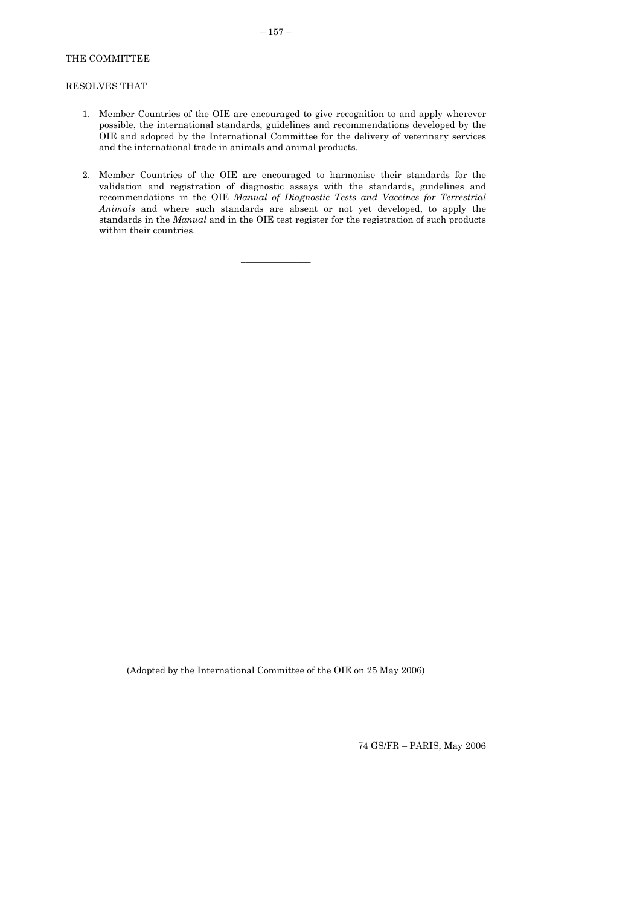# <span id="page-48-0"></span>THE COMMITTEE

## RESOLVES THAT

- 1. Member Countries of the OIE are encouraged to give recognition to and apply wherever possible, the international standards, guidelines and recommendations developed by the OIE and adopted by the International Committee for the delivery of veterinary services and the international trade in animals and animal products.
- 2. Member Countries of the OIE are encouraged to harmonise their standards for the validation and registration of diagnostic assays with the standards, guidelines and recommendations in the OIE *Manual of Diagnostic Tests and Vaccines for Terrestrial Animals* and where such standards are absent or not yet developed, to apply the standards in the *Manual* and in the OIE test register for the registration of such products within their countries.

 $\overline{\phantom{a}}$  , where  $\overline{\phantom{a}}$ 

(Adopted by the International Committee of the OIE on 25 May 2006)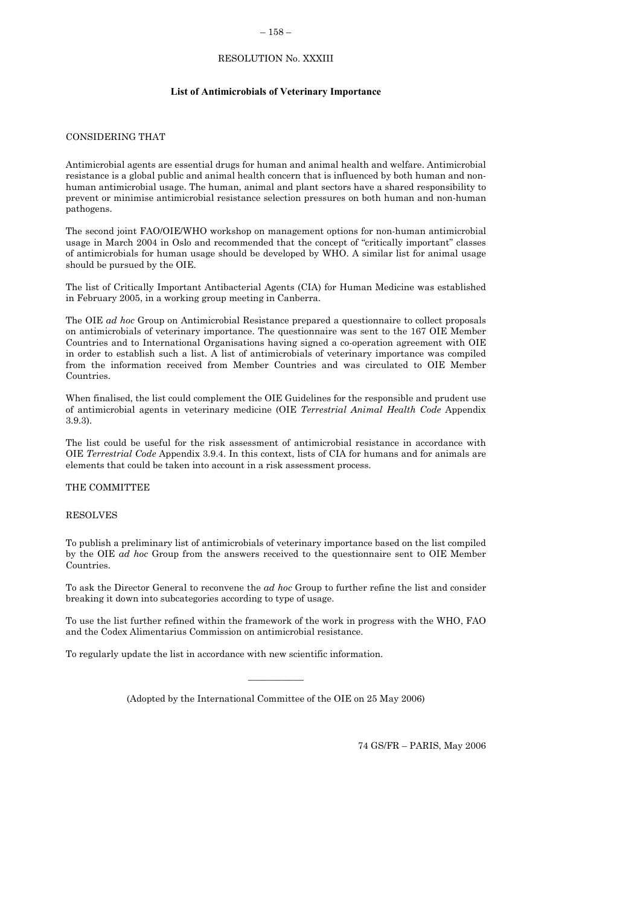#### – 158 –

### RESOLUTION No. XXXIII

### **List of Antimicrobials of Veterinary Importance**

## CONSIDERING THAT

Antimicrobial agents are essential drugs for human and animal health and welfare. Antimicrobial resistance is a global public and animal health concern that is influenced by both human and nonhuman antimicrobial usage. The human, animal and plant sectors have a shared responsibility to prevent or minimise antimicrobial resistance selection pressures on both human and non-human pathogens.

The second joint FAO/OIE/WHO workshop on management options for non-human antimicrobial usage in March 2004 in Oslo and recommended that the concept of "critically important" classes of antimicrobials for human usage should be developed by WHO. A similar list for animal usage should be pursued by the OIE.

The list of Critically Important Antibacterial Agents (CIA) for Human Medicine was established in February 2005, in a working group meeting in Canberra.

The OIE *ad hoc* Group on Antimicrobial Resistance prepared a questionnaire to collect proposals on antimicrobials of veterinary importance. The questionnaire was sent to the 167 OIE Member Countries and to International Organisations having signed a co-operation agreement with OIE in order to establish such a list. A list of antimicrobials of veterinary importance was compiled from the information received from Member Countries and was circulated to OIE Member Countries.

When finalised, the list could complement the OIE Guidelines for the responsible and prudent use of antimicrobial agents in veterinary medicine (OIE *Terrestrial Animal Health Code* Appendix 3.9.3).

The list could be useful for the risk assessment of antimicrobial resistance in accordance with OIE *Terrestrial Code* Appendix 3.9.4. In this context, lists of CIA for humans and for animals are elements that could be taken into account in a risk assessment process.

THE COMMITTEE

RESOLVES

To publish a preliminary list of antimicrobials of veterinary importance based on the list compiled by the OIE *ad hoc* Group from the answers received to the questionnaire sent to OIE Member Countries.

To ask the Director General to reconvene the *ad hoc* Group to further refine the list and consider breaking it down into subcategories according to type of usage.

To use the list further refined within the framework of the work in progress with the WHO, FAO and the Codex Alimentarius Commission on antimicrobial resistance.

To regularly update the list in accordance with new scientific information.

(Adopted by the International Committee of the OIE on 25 May 2006)

 $\overline{\phantom{a}}$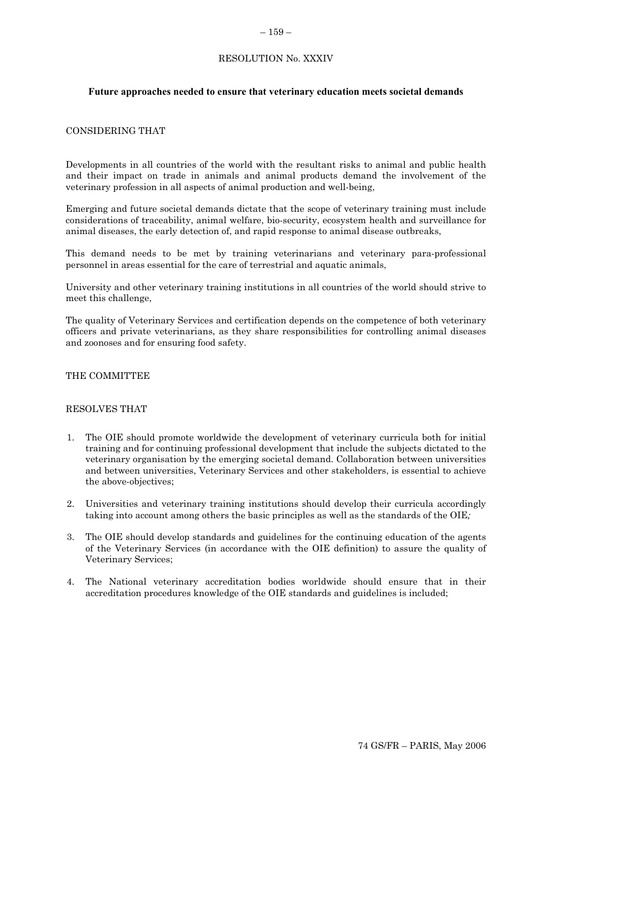#### – 159 –

## RESOLUTION No. XXXIV

#### <span id="page-50-0"></span>**Future approaches needed to ensure that veterinary education meets societal demands**

## CONSIDERING THAT

Developments in all countries of the world with the resultant risks to animal and public health and their impact on trade in animals and animal products demand the involvement of the veterinary profession in all aspects of animal production and well-being,

Emerging and future societal demands dictate that the scope of veterinary training must include considerations of traceability, animal welfare, bio-security, ecosystem health and surveillance for animal diseases, the early detection of, and rapid response to animal disease outbreaks,

This demand needs to be met by training veterinarians and veterinary para-professional personnel in areas essential for the care of terrestrial and aquatic animals,

University and other veterinary training institutions in all countries of the world should strive to meet this challenge,

The quality of Veterinary Services and certification depends on the competence of both veterinary officers and private veterinarians, as they share responsibilities for controlling animal diseases and zoonoses and for ensuring food safety.

#### THE COMMITTEE

### RESOLVES THAT

- 1. The OIE should promote worldwide the development of veterinary curricula both for initial training and for continuing professional development that include the subjects dictated to the veterinary organisation by the emerging societal demand. Collaboration between universities and between universities, Veterinary Services and other stakeholders, is essential to achieve the above-objectives;
- 2. Universities and veterinary training institutions should develop their curricula accordingly taking into account among others the basic principles as well as the standards of the OIE*;*
- 3. The OIE should develop standards and guidelines for the continuing education of the agents of the Veterinary Services (in accordance with the OIE definition) to assure the quality of Veterinary Services;
- 4. The National veterinary accreditation bodies worldwide should ensure that in their accreditation procedures knowledge of the OIE standards and guidelines is included;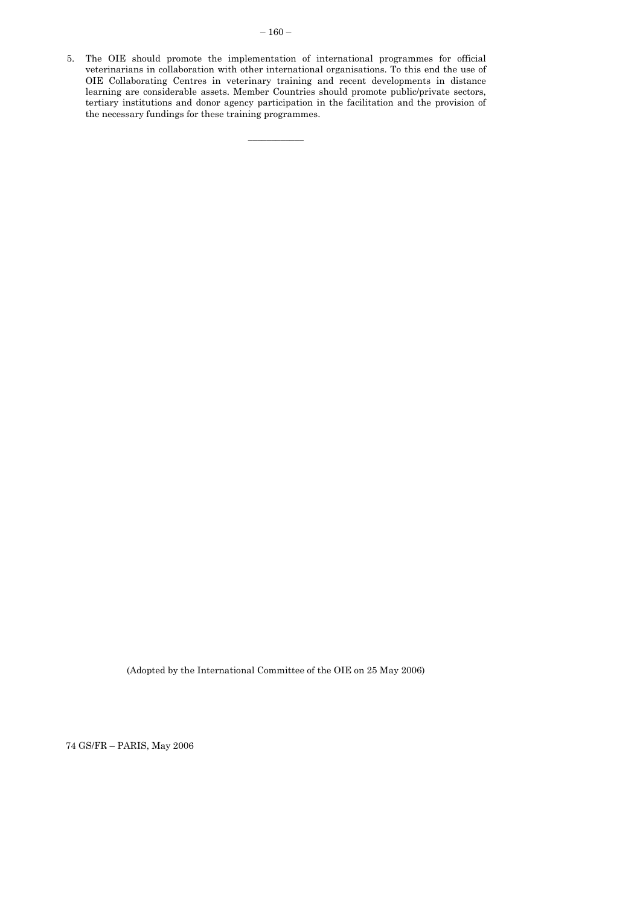<span id="page-51-0"></span>5. The OIE should promote the implementation of international programmes for official veterinarians in collaboration with other international organisations. To this end the use of OIE Collaborating Centres in veterinary training and recent developments in distance learning are considerable assets. Member Countries should promote public/private sectors, tertiary institutions and donor agency participation in the facilitation and the provision of the necessary fundings for these training programmes.

 $\overline{\phantom{a}}$ 

(Adopted by the International Committee of the OIE on 25 May 2006)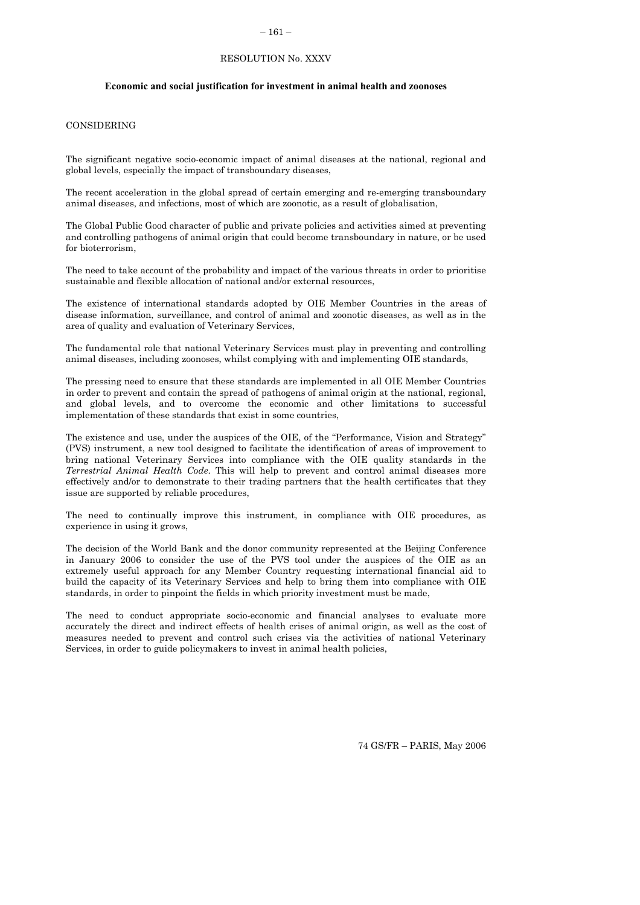### $-161-$

## RESOLUTION No. XXXV

#### **Economic and social justification for investment in animal health and zoonoses**

## CONSIDERING

The significant negative socio-economic impact of animal diseases at the national, regional and global levels, especially the impact of transboundary diseases,

The recent acceleration in the global spread of certain emerging and re-emerging transboundary animal diseases, and infections, most of which are zoonotic, as a result of globalisation,

The Global Public Good character of public and private policies and activities aimed at preventing and controlling pathogens of animal origin that could become transboundary in nature, or be used for bioterrorism,

The need to take account of the probability and impact of the various threats in order to prioritise sustainable and flexible allocation of national and/or external resources,

The existence of international standards adopted by OIE Member Countries in the areas of disease information, surveillance, and control of animal and zoonotic diseases, as well as in the area of quality and evaluation of Veterinary Services,

The fundamental role that national Veterinary Services must play in preventing and controlling animal diseases, including zoonoses, whilst complying with and implementing OIE standards,

The pressing need to ensure that these standards are implemented in all OIE Member Countries in order to prevent and contain the spread of pathogens of animal origin at the national, regional, and global levels, and to overcome the economic and other limitations to successful implementation of these standards that exist in some countries,

The existence and use, under the auspices of the OIE, of the "Performance, Vision and Strategy" (PVS) instrument, a new tool designed to facilitate the identification of areas of improvement to bring national Veterinary Services into compliance with the OIE quality standards in the *Terrestrial Animal Health Code*. This will help to prevent and control animal diseases more effectively and/or to demonstrate to their trading partners that the health certificates that they issue are supported by reliable procedures,

The need to continually improve this instrument, in compliance with OIE procedures, as experience in using it grows,

The decision of the World Bank and the donor community represented at the Beijing Conference in January 2006 to consider the use of the PVS tool under the auspices of the OIE as an extremely useful approach for any Member Country requesting international financial aid to build the capacity of its Veterinary Services and help to bring them into compliance with OIE standards, in order to pinpoint the fields in which priority investment must be made,

The need to conduct appropriate socio-economic and financial analyses to evaluate more accurately the direct and indirect effects of health crises of animal origin, as well as the cost of measures needed to prevent and control such crises via the activities of national Veterinary Services, in order to guide policymakers to invest in animal health policies,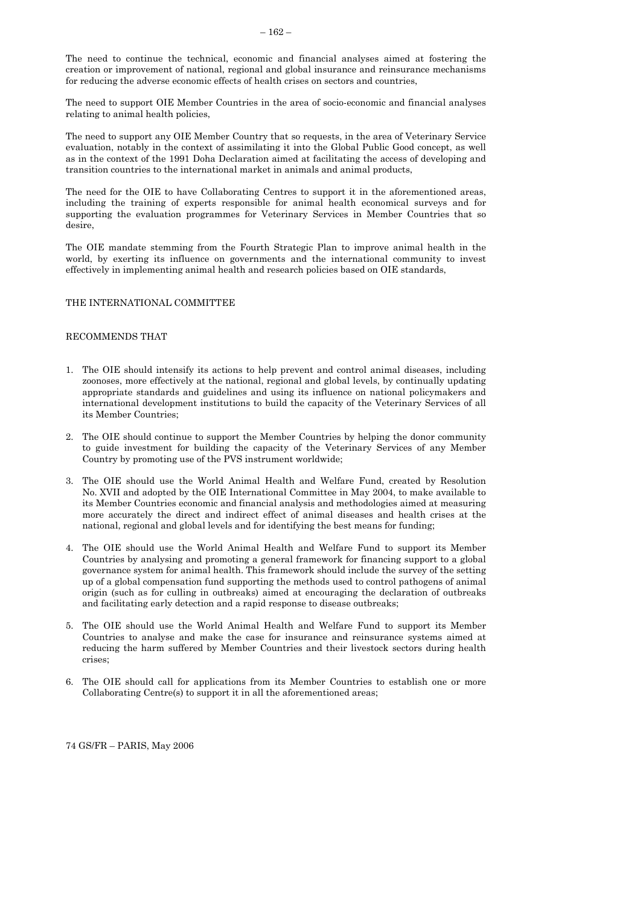<span id="page-53-0"></span>The need to continue the technical, economic and financial analyses aimed at fostering the creation or improvement of national, regional and global insurance and reinsurance mechanisms for reducing the adverse economic effects of health crises on sectors and countries,

The need to support OIE Member Countries in the area of socio-economic and financial analyses relating to animal health policies,

The need to support any OIE Member Country that so requests, in the area of Veterinary Service evaluation, notably in the context of assimilating it into the Global Public Good concept, as well as in the context of the 1991 Doha Declaration aimed at facilitating the access of developing and transition countries to the international market in animals and animal products,

The need for the OIE to have Collaborating Centres to support it in the aforementioned areas, including the training of experts responsible for animal health economical surveys and for supporting the evaluation programmes for Veterinary Services in Member Countries that so desire,

The OIE mandate stemming from the Fourth Strategic Plan to improve animal health in the world, by exerting its influence on governments and the international community to invest effectively in implementing animal health and research policies based on OIE standards,

## THE INTERNATIONAL COMMITTEE

## RECOMMENDS THAT

- 1. The OIE should intensify its actions to help prevent and control animal diseases, including zoonoses, more effectively at the national, regional and global levels, by continually updating appropriate standards and guidelines and using its influence on national policymakers and international development institutions to build the capacity of the Veterinary Services of all its Member Countries;
- 2. The OIE should continue to support the Member Countries by helping the donor community to guide investment for building the capacity of the Veterinary Services of any Member Country by promoting use of the PVS instrument worldwide;
- 3. The OIE should use the World Animal Health and Welfare Fund, created by Resolution No. XVII and adopted by the OIE International Committee in May 2004, to make available to its Member Countries economic and financial analysis and methodologies aimed at measuring more accurately the direct and indirect effect of animal diseases and health crises at the national, regional and global levels and for identifying the best means for funding;
- 4. The OIE should use the World Animal Health and Welfare Fund to support its Member Countries by analysing and promoting a general framework for financing support to a global governance system for animal health. This framework should include the survey of the setting up of a global compensation fund supporting the methods used to control pathogens of animal origin (such as for culling in outbreaks) aimed at encouraging the declaration of outbreaks and facilitating early detection and a rapid response to disease outbreaks;
- 5. The OIE should use the World Animal Health and Welfare Fund to support its Member Countries to analyse and make the case for insurance and reinsurance systems aimed at reducing the harm suffered by Member Countries and their livestock sectors during health crises;
- 6. The OIE should call for applications from its Member Countries to establish one or more Collaborating Centre(s) to support it in all the aforementioned areas;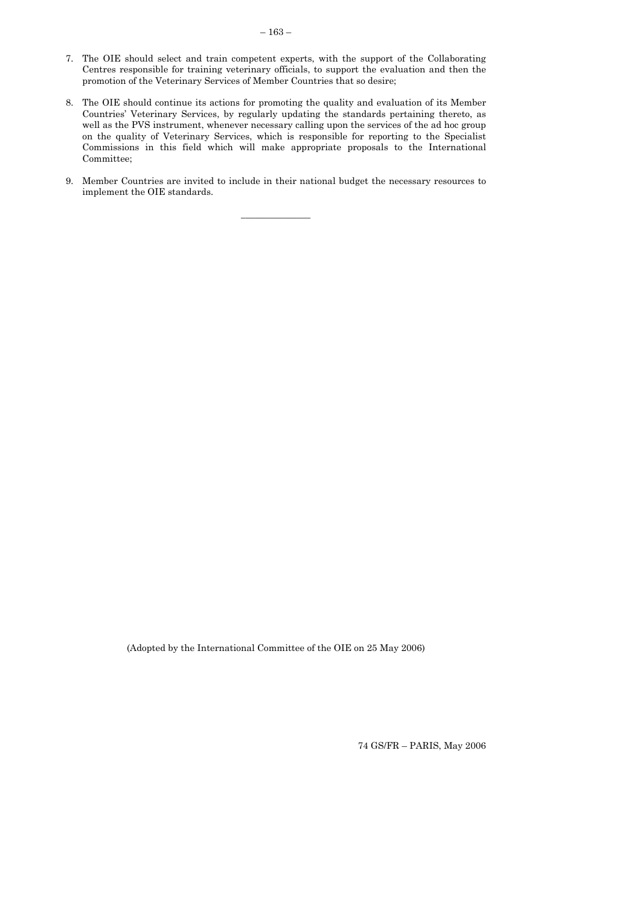- 7. The OIE should select and train competent experts, with the support of the Collaborating Centres responsible for training veterinary officials, to support the evaluation and then the promotion of the Veterinary Services of Member Countries that so desire;
- 8. The OIE should continue its actions for promoting the quality and evaluation of its Member Countries' Veterinary Services, by regularly updating the standards pertaining thereto, as well as the PVS instrument, whenever necessary calling upon the services of the ad hoc group on the quality of Veterinary Services, which is responsible for reporting to the Specialist Commissions in this field which will make appropriate proposals to the International Committee;
- 9. Member Countries are invited to include in their national budget the necessary resources to implement the OIE standards.

 $\frac{1}{2}$  ,  $\frac{1}{2}$  ,  $\frac{1}{2}$  ,  $\frac{1}{2}$  ,  $\frac{1}{2}$  ,  $\frac{1}{2}$  ,  $\frac{1}{2}$ 

(Adopted by the International Committee of the OIE on 25 May 2006)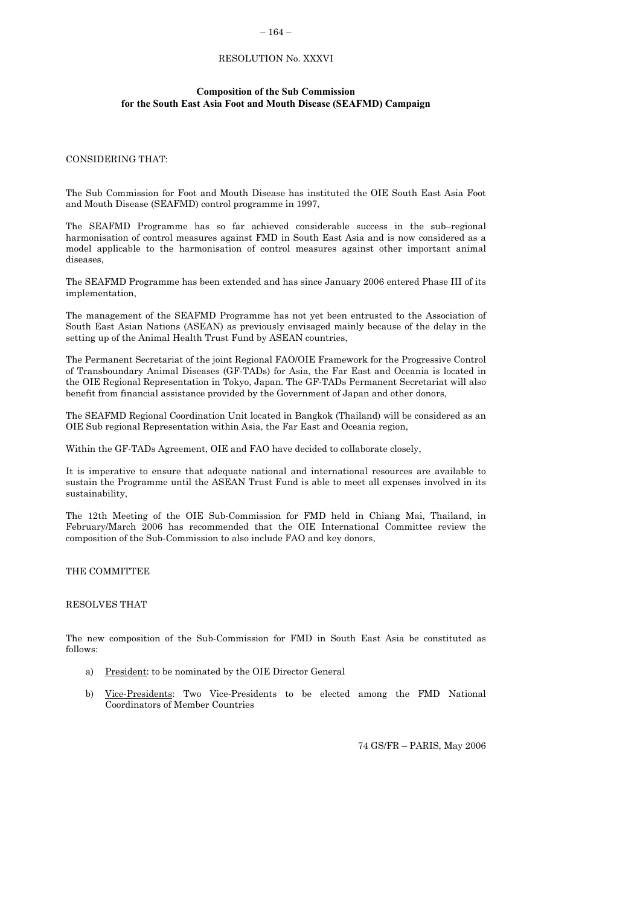## – 164 –

## RESOLUTION No. XXXVI

#### **Composition of the Sub Commission for the South East Asia Foot and Mouth Disease (SEAFMD) Campaign**

#### CONSIDERING THAT:

The Sub Commission for Foot and Mouth Disease has instituted the OIE South East Asia Foot and Mouth Disease (SEAFMD) control programme in 1997,

The SEAFMD Programme has so far achieved considerable success in the sub–regional harmonisation of control measures against FMD in South East Asia and is now considered as a model applicable to the harmonisation of control measures against other important animal diseases,

The SEAFMD Programme has been extended and has since January 2006 entered Phase III of its implementation,

The management of the SEAFMD Programme has not yet been entrusted to the Association of South East Asian Nations (ASEAN) as previously envisaged mainly because of the delay in the setting up of the Animal Health Trust Fund by ASEAN countries,

The Permanent Secretariat of the joint Regional FAO/OIE Framework for the Progressive Control of Transboundary Animal Diseases (GF-TADs) for Asia, the Far East and Oceania is located in the OIE Regional Representation in Tokyo, Japan. The GF-TADs Permanent Secretariat will also benefit from financial assistance provided by the Government of Japan and other donors,

The SEAFMD Regional Coordination Unit located in Bangkok (Thailand) will be considered as an OIE Sub regional Representation within Asia, the Far East and Oceania region,

Within the GF-TADs Agreement, OIE and FAO have decided to collaborate closely,

It is imperative to ensure that adequate national and international resources are available to sustain the Programme until the ASEAN Trust Fund is able to meet all expenses involved in its sustainability,

The 12th Meeting of the OIE Sub-Commission for FMD held in Chiang Mai, Thailand, in February/March 2006 has recommended that the OIE International Committee review the composition of the Sub-Commission to also include FAO and key donors,

## THE COMMITTEE

## RESOLVES THAT

The new composition of the Sub-Commission for FMD in South East Asia be constituted as follows:

- a) President: to be nominated by the OIE Director General
- b) Vice-Presidents: Two Vice-Presidents to be elected among the FMD National Coordinators of Member Countries